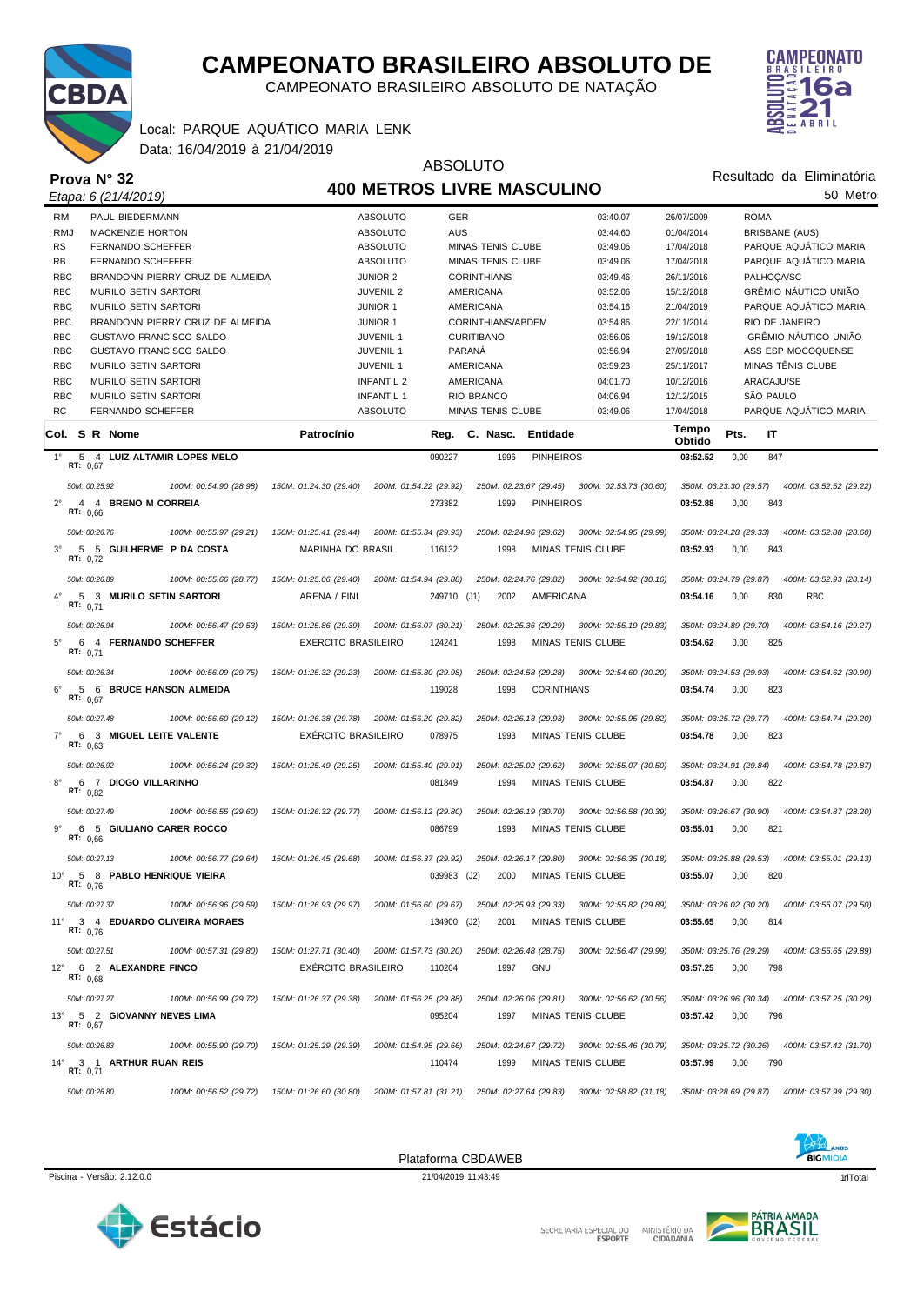

CAMPEONATO BRASILEIRO ABSOLUTO DE NATAÇÃO



Resultado da Eliminatória

#### Data: 16/04/2019 à 21/04/2019 Local: PARQUE AQUÁTICO MARIA LENK

**Prova N° 32**

#### ABSOLUTO **400 METROS LIVRE MASCULINO**

|              |                 | Etapa: 6 (21/4/2019)            |                                 |                                               | 400 METROS LIVRE MASCULINO |             |                          |                    |                                                                                             |                        |             |                       | 50 Metro                                       |  |
|--------------|-----------------|---------------------------------|---------------------------------|-----------------------------------------------|----------------------------|-------------|--------------------------|--------------------|---------------------------------------------------------------------------------------------|------------------------|-------------|-----------------------|------------------------------------------------|--|
| <b>RM</b>    |                 | PAUL BIEDERMANN                 |                                 |                                               | <b>ABSOLUTO</b>            | GER         |                          |                    | 03:40.07                                                                                    | 26/07/2009             | <b>ROMA</b> |                       |                                                |  |
| <b>RMJ</b>   |                 | <b>MACKENZIE HORTON</b>         |                                 |                                               | <b>ABSOLUTO</b>            | AUS         |                          |                    | 03:44.60                                                                                    | 01/04/2014             |             | <b>BRISBANE (AUS)</b> |                                                |  |
| <b>RS</b>    |                 | FERNANDO SCHEFFER               |                                 |                                               | <b>ABSOLUTO</b>            |             | <b>MINAS TENIS CLUBE</b> |                    | 03:49.06                                                                                    | 17/04/2018             |             |                       | PARQUE AQUÁTICO MARIA                          |  |
| <b>RB</b>    |                 | FERNANDO SCHEFFER               |                                 |                                               | <b>ABSOLUTO</b>            |             | <b>MINAS TENIS CLUBE</b> |                    | 03:49.06                                                                                    | 17/04/2018             |             |                       | PARQUE AQUÁTICO MARIA                          |  |
| <b>RBC</b>   |                 |                                 | BRANDONN PIERRY CRUZ DE ALMEIDA |                                               | <b>JUNIOR 2</b>            |             | <b>CORINTHIANS</b>       |                    | 03:49.46                                                                                    | 26/11/2016             |             | PALHOCA/SC            |                                                |  |
| <b>RBC</b>   |                 | MURILO SETIN SARTORI            |                                 |                                               | <b>JUVENIL 2</b>           |             | AMERICANA                |                    | 03:52.06                                                                                    | 15/12/2018             |             |                       | GRÊMIO NÁUTICO UNIÃO                           |  |
| <b>RBC</b>   |                 | <b>MURILO SETIN SARTORI</b>     |                                 |                                               | <b>JUNIOR 1</b>            |             | AMERICANA                |                    | 03:54.16                                                                                    | 21/04/2019             |             |                       | PARQUE AQUÁTICO MARIA                          |  |
| <b>RBC</b>   |                 |                                 | BRANDONN PIERRY CRUZ DE ALMEIDA |                                               | <b>JUNIOR 1</b>            |             | CORINTHIANS/ABDEM        |                    | 03:54.86                                                                                    | 22/11/2014             |             | RIO DE JANEIRO        |                                                |  |
| <b>RBC</b>   |                 | <b>GUSTAVO FRANCISCO SALDO</b>  |                                 |                                               | <b>JUVENIL 1</b>           |             | <b>CURITIBANO</b>        |                    | 03:56.06                                                                                    | 19/12/2018             |             |                       | GRÊMIO NÁUTICO UNIÃO                           |  |
| <b>RBC</b>   |                 | <b>GUSTAVO FRANCISCO SALDO</b>  |                                 |                                               | <b>JUVENIL 1</b>           | PARANÁ      |                          |                    | 03:56.94                                                                                    | 27/09/2018             |             |                       | ASS ESP MOCOQUENSE                             |  |
| <b>RBC</b>   |                 | MURILO SETIN SARTORI            |                                 |                                               | JUVENIL 1                  |             | AMERICANA                |                    | 03:59.23                                                                                    | 25/11/2017             |             |                       | MINAS TÊNIS CLUBE                              |  |
| <b>RBC</b>   |                 | <b>MURILO SETIN SARTORI</b>     |                                 |                                               | <b>INFANTIL 2</b>          |             | AMERICANA                |                    | 04:01.70                                                                                    | 10/12/2016             |             | ARACAJU/SE            |                                                |  |
| <b>RBC</b>   |                 | <b>MURILO SETIN SARTORI</b>     |                                 |                                               | <b>INFANTIL 1</b>          |             | <b>RIO BRANCO</b>        |                    | 04:06.94                                                                                    | 12/12/2015             |             | SÃO PAULO             |                                                |  |
| <b>RC</b>    |                 | FERNANDO SCHEFFER               |                                 |                                               | <b>ABSOLUTO</b>            |             | <b>MINAS TENIS CLUBE</b> |                    | 03:49.06                                                                                    | 17/04/2018             |             |                       | PARQUE AQUÁTICO MARIA                          |  |
|              |                 | Col. S R Nome                   |                                 | Patrocínio                                    |                            | Reg.        | C. Nasc.                 | Entidade           |                                                                                             | Tempo<br>Obtido        | Pts.        | IT                    |                                                |  |
| $1^{\circ}$  | RT: 0,67        | 5 4 LUIZ ALTAMIR LOPES MELO     |                                 |                                               |                            | 090227      | 1996                     | <b>PINHEIROS</b>   |                                                                                             | 03:52.52               | 0,00        | 847                   |                                                |  |
|              |                 | 50M: 00:25.92                   | 100M: 00:54.90 (28.98)          | 150M: 01:24.30 (29.40)                        | 200M: 01:54.22 (29.92)     |             | 250M: 02:23.67 (29.45)   |                    | 300M: 02:53.73 (30.60)                                                                      | 350M: 03:23.30 (29.57) |             |                       | 400M: 03:52.52 (29.22)                         |  |
| $2^{\circ}$  | $\overline{4}$  | 4 BRENO M CORREIA               |                                 |                                               |                            | 273382      | 1999                     | <b>PINHEIROS</b>   |                                                                                             | 03:52.88               | 0,00        | 843                   |                                                |  |
|              | RT: 0,66        |                                 |                                 |                                               |                            |             |                          |                    |                                                                                             |                        |             |                       |                                                |  |
|              |                 | 50M: 00:26.76                   | 100M: 00:55.97 (29.21)          | 150M: 01:25.41 (29.44)                        | 200M: 01:55.34 (29.93)     |             | 250M: 02:24.96 (29.62)   |                    | 300M: 02:54.95 (29.99)                                                                      | 350M: 03:24.28 (29.33) |             |                       | 400M: 03:52.88 (28.60)                         |  |
| $3^{\circ}$  | RT: 0,72        | 5 5 GUILHERME P DA COSTA        |                                 | MARINHA DO BRASIL                             |                            | 116132      | 1998                     |                    | <b>MINAS TENIS CLUBE</b>                                                                    | 03:52.93               | 0,00        | 843                   |                                                |  |
|              |                 | 50M: 00:26.89                   | 100M: 00:55.66 (28.77)          | 150M: 01:25.06 (29.40)                        | 200M: 01:54.94 (29.88)     |             | 250M: 02:24.76 (29.82)   |                    | 300M: 02:54.92 (30.16)                                                                      | 350M: 03:24.79 (29.87) |             |                       | 400M: 03:52.93 (28.14)                         |  |
| $4^{\circ}$  | RT: $0.71$      | 5 3 MURILO SETIN SARTORI        |                                 | ARENA / FINI                                  |                            | 249710 (J1) | 2002                     | AMERICANA          |                                                                                             | 03:54.16               | 0,00        | 830                   | <b>RBC</b>                                     |  |
|              |                 | 50M: 00:26.94                   | 100M: 00:56.47 (29.53)          | 150M: 01:25.86 (29.39)                        | 200M: 01:56.07 (30.21)     |             | 250M: 02:25.36 (29.29)   |                    | 300M: 02:55.19 (29.83)                                                                      | 350M: 03:24.89 (29.70) |             |                       | 400M: 03:54.16 (29.27)                         |  |
| $5^{\circ}$  | 6<br>RT: $0,71$ | 4 FERNANDO SCHEFFER             |                                 | <b>EXERCITO BRASILEIRO</b>                    |                            | 124241      | 1998                     |                    | MINAS TENIS CLUBE                                                                           | 03:54.62               | 0,00        | 825                   |                                                |  |
|              |                 | 50M: 00:26.34                   | 100M: 00:56.09 (29.75)          | 150M: 01:25.32 (29.23)                        | 200M: 01:55.30 (29.98)     |             | 250M: 02:24.58 (29.28)   |                    | 300M: 02:54.60 (30.20)                                                                      | 350M: 03:24.53 (29.93) |             |                       | 400M: 03:54.62 (30.90)                         |  |
| $6^{\circ}$  | 5<br>RT: $0.67$ | <b>6 BRUCE HANSON ALMEIDA</b>   |                                 |                                               |                            | 119028      | 1998                     | <b>CORINTHIANS</b> |                                                                                             | 03:54.74               | 0,00        | 823                   |                                                |  |
|              |                 | 50M: 00:27.48                   | 100M: 00:56.60 (29.12)          | 150M: 01:26.38 (29.78)                        | 200M: 01:56.20 (29.82)     |             | 250M: 02:26.13 (29.93)   |                    | 300M: 02:55.95 (29.82)                                                                      | 350M: 03:25.72 (29.77) |             |                       | 400M: 03:54.74 (29.20)                         |  |
| $7^\circ$    | 6<br>RT: $0.63$ | 3 MIGUEL LEITE VALENTE          |                                 | EXÉRCITO BRASILEIRO                           |                            | 078975      | 1993                     |                    | <b>MINAS TENIS CLUBE</b>                                                                    | 03:54.78               | 0,00        | 823                   |                                                |  |
|              |                 | 50M: 00:26.92                   | 100M: 00:56.24 (29.32)          | 150M: 01:25.49 (29.25)                        | 200M: 01:55.40 (29.91)     |             | 250M: 02:25.02 (29.62)   |                    | 300M: 02:55.07 (30.50)                                                                      | 350M: 03:24.91 (29.84) |             |                       | 400M: 03:54.78 (29.87)                         |  |
| $8^{\circ}$  | RT: $0.82$      | 6 7 DIOGO VILLARINHO            |                                 |                                               |                            | 081849      | 1994                     |                    | MINAS TENIS CLUBE                                                                           | 03:54.87               | 0,00        | 822                   |                                                |  |
|              |                 | 50M: 00:27.49                   | 100M: 00:56.55 (29.60)          | 150M: 01:26.32 (29.77)                        | 200M: 01:56.12 (29.80)     |             | 250M: 02:26.19 (30.70)   |                    | 300M: 02:56.58 (30.39)                                                                      | 350M: 03:26.67 (30.90) |             |                       | 400M: 03:54.87 (28.20)                         |  |
| $9^{\circ}$  | RT: $0.66$      | 6 5 GIULIANO CARER ROCCO        |                                 |                                               |                            | 086799      | 1993                     |                    | MINAS TENIS CLUBE                                                                           | 03:55.01               | 0,00        | 821                   |                                                |  |
|              |                 | 50M: 00:27.13                   | 100M: 00:56.77 (29.64)          | 150M: 01:26.45 (29.68)                        | 200M: 01:56.37 (29.92)     |             | 250M: 02:26.17 (29.80)   |                    | 300M: 02:56.35 (30.18)                                                                      | 350M: 03:25.88 (29.53) |             |                       | 400M: 03:55.01 (29.13)                         |  |
| $10^{\circ}$ | R1: 0.76        | 5 8 PABLO HENRIQUE VIEIRA       |                                 |                                               |                            | 039983 (J2) | 2000                     |                    | <b>MINAS TENIS CLUBE</b>                                                                    | 03:55.07               | 0,00        | 820                   |                                                |  |
|              |                 | 50M: 00:27.37                   | 100M: 00:56.96 (29.59)          |                                               |                            |             |                          |                    | 150M: 01:26.93 (29.97) 200M: 01:56.60 (29.67) 250M: 02:25.93 (29.33) 300M: 02:55.82 (29.89) |                        |             |                       | 350M: 03:26.02 (30.20)  400M: 03:55.07 (29.50) |  |
|              | RT: 0.76        | 11° 3 4 EDUARDO OLIVEIRA MORAES |                                 |                                               |                            | 134900 (J2) | 2001                     |                    | MINAS TENIS CLUBE                                                                           | 03:55.65               | 0,00        | 814                   |                                                |  |
|              |                 | 50M: 00:27.51                   | 100M: 00:57.31 (29.80)          | 150M: 01:27.71 (30.40) 200M: 01:57.73 (30.20) |                            |             | 250M: 02:26.48 (28.75)   |                    | 300M: 02:56.47 (29.99)                                                                      | 350M: 03:25.76 (29.29) |             |                       | 400M: 03:55.65 (29.89)                         |  |
| $12^{\circ}$ | RT: $0.68$      | 6 2 ALEXANDRE FINCO             |                                 | <b>EXERCITO BRASILEIRO</b>                    |                            | 110204      | 1997                     | GNU                |                                                                                             | 03:57.25               | 0,00        | 798                   |                                                |  |
|              |                 | 50M: 00:27.27                   | 100M: 00:56.99 (29.72)          | 150M: 01:26.37 (29.38)                        | 200M: 01:56.25 (29.88)     |             | 250M: 02:26.06 (29.81)   |                    | 300M: 02:56.62 (30.56)                                                                      | 350M: 03:26.96 (30.34) |             |                       | 400M: 03:57.25 (30.29)                         |  |
| $13^{\circ}$ | RT: 0,67        | 5 2 GIOVANNY NEVES LIMA         |                                 |                                               |                            | 095204      | 1997                     |                    | MINAS TENIS CLUBE                                                                           | 03:57.42               | 0,00        | 796                   |                                                |  |
|              |                 | 50M: 00:26.83                   | 100M: 00:55.90 (29.70)          | 150M: 01:25.29 (29.39)                        | 200M: 01:54.95 (29.66)     |             | 250M: 02:24.67 (29.72)   |                    | 300M: 02:55.46 (30.79)                                                                      | 350M: 03:25.72 (30.26) |             |                       | 400M: 03:57.42 (31.70)                         |  |
| $14^{\circ}$ | RT: 0,71        | 3 1 ARTHUR RUAN REIS            |                                 |                                               |                            | 110474      | 1999                     |                    | MINAS TENIS CLUBE                                                                           | 03:57.99               | 0,00        | 790                   |                                                |  |
|              |                 | 50M: 00:26.80                   | 100M: 00:56.52 (29.72)          | 150M: 01:26.60 (30.80)                        | 200M: 01:57.81 (31.21)     |             | 250M: 02:27.64 (29.83)   |                    | 300M: 02:58.82 (31.18)                                                                      |                        |             |                       | 350M: 03:28.69 (29.87)  400M: 03:57.99 (29.30) |  |



Piscina - Versão: 2.12.0.0 21/04/2019 11:43:49 21/04/2019 11:43:49 21/04/2019 11:43:49 21/04/2019 11:12 11:12

Plataforma CBDAWEB





SECRETARIA ESPECIAL DO MINISTÉRIO DA<br>CIDADANIA

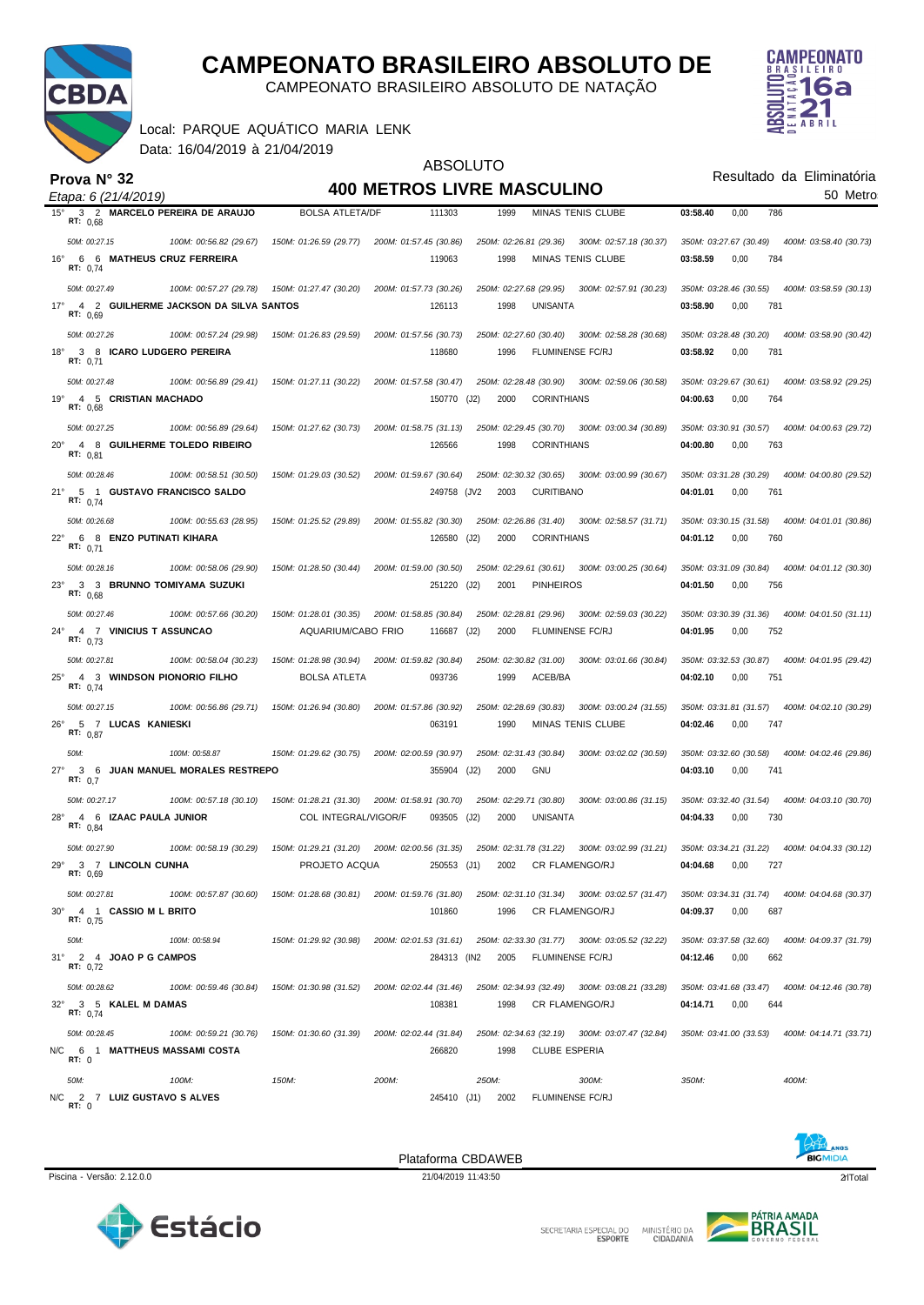

CAMPEONATO BRASILEIRO ABSOLUTO DE NATAÇÃO

**CAMPEONATO** 6a **ABRIL** 

|  | Local: PARQUE AQUÁTICO MARIA LENK |  |
|--|-----------------------------------|--|
|  | Data: 16/04/2019 à 21/04/2019     |  |

|                                                                     |                        | <b>ABSOLUTO</b>                               |                                                                      |                                                  |  |  |  |
|---------------------------------------------------------------------|------------------------|-----------------------------------------------|----------------------------------------------------------------------|--------------------------------------------------|--|--|--|
| Prova N° 32                                                         |                        |                                               | <b>400 METROS LIVRE MASCULINO</b>                                    | Resultado da Eliminatória<br>50 Metro            |  |  |  |
| Etapa: 6 (21/4/2019)<br>3 2 MARCELO PEREIRA DE ARAUJO<br>$15^\circ$ | <b>BOLSA ATLETA/DF</b> | 111303                                        | 1999<br><b>MINAS TENIS CLUBE</b>                                     | 03:58.40<br>0,00<br>786                          |  |  |  |
| RT: 0,68                                                            |                        |                                               |                                                                      |                                                  |  |  |  |
| 50M: 00:27.15<br>100M: 00:56.82 (29.67)                             | 150M: 01:26.59 (29.77) | 200M: 01:57.45 (30.86)                        | 250M: 02:26.81 (29.36)<br>300M: 02:57.18 (30.37)                     | 350M: 03:27.67 (30.49)<br>400M: 03:58.40 (30.73) |  |  |  |
| 6 6 MATHEUS CRUZ FERREIRA<br>$16^{\circ}$<br>RT: 0,74               |                        | 119063                                        | 1998<br><b>MINAS TENIS CLUBE</b>                                     | 03:58.59<br>0,00<br>784                          |  |  |  |
| 50M: 00:27.49<br>100M: 00:57.27 (29.78)                             | 150M: 01:27.47 (30.20) | 200M: 01:57.73 (30.26)                        | 250M: 02:27.68 (29.95)<br>300M: 02:57.91 (30.23)                     | 350M: 03:28.46 (30.55)<br>400M: 03:58.59 (30.13) |  |  |  |
| $17^{\circ}$<br>4 2 GUILHERME JACKSON DA SILVA SANTOS<br>RT: 0,69   |                        | 126113                                        | 1998<br>UNISANTA                                                     | 781<br>03:58.90<br>0,00                          |  |  |  |
| 50M: 00:27.26<br>100M: 00:57.24 (29.98)                             | 150M: 01:26.83 (29.59) | 200M: 01:57.56 (30.73)                        | 250M: 02:27.60 (30.40)<br>300M: 02:58.28 (30.68)                     | 350M: 03:28.48 (30.20)<br>400M: 03:58.90 (30.42) |  |  |  |
| $18^{\circ}$<br>3 8 ICARO LUDGERO PEREIRA<br>RT: 0,71               |                        | 118680                                        | 1996<br>FLUMINENSE FC/RJ                                             | 03:58.92<br>0,00<br>781                          |  |  |  |
| 50M: 00:27.48<br>100M: 00:56.89 (29.41)                             | 150M: 01:27.11 (30.22) | 200M: 01:57.58 (30.47)                        | 250M: 02:28.48 (30.90)<br>300M: 02:59.06 (30.58)                     | 350M: 03:29.67 (30.61)<br>400M: 03:58.92 (29.25) |  |  |  |
| 4 5 CRISTIAN MACHADO<br>19°<br>RT: 0,68                             |                        | 150770 (J2)                                   | 2000<br><b>CORINTHIANS</b>                                           | 04:00.63<br>0,00<br>764                          |  |  |  |
| 50M: 00:27.25<br>100M: 00:56.89 (29.64)                             | 150M: 01:27.62 (30.73) | 200M: 01:58.75 (31.13)                        | 250M: 02:29.45 (30.70)<br>300M: 03:00.34 (30.89)                     | 350M: 03:30.91 (30.57)<br>400M: 04:00.63 (29.72) |  |  |  |
| $20^{\circ}$<br>4 8 GUILHERME TOLEDO RIBEIRO<br>RT: $0,81$          |                        | 126566                                        | 1998<br><b>CORINTHIANS</b>                                           | 04:00.80<br>0,00<br>763                          |  |  |  |
| 50M: 00:28.46<br>100M: 00:58.51 (30.50)                             | 150M: 01:29.03 (30.52) | 200M: 01:59.67 (30.64)                        | 250M: 02:30.32 (30.65)<br>300M: 03:00.99 (30.67)                     | 350M: 03:31.28 (30.29)<br>400M: 04:00.80 (29.52) |  |  |  |
| $21^{\circ}$<br>5 1 GUSTAVO FRANCISCO SALDO<br>RT: $0,74$           |                        | 249758 (JV2                                   | 2003<br><b>CURITIBANO</b>                                            | 04:01.01<br>0,00<br>761                          |  |  |  |
| 100M: 00:55.63 (28.95)<br>50M: 00:26.68                             | 150M: 01:25.52 (29.89) | 200M: 01:55.82 (30.30)                        | 250M: 02:26.86 (31.40)<br>300M: 02:58.57 (31.71)                     | 350M: 03:30.15 (31.58)<br>400M: 04:01.01 (30.86) |  |  |  |
| $22^{\circ}$<br>6 8 ENZO PUTINATI KIHARA<br>RT: $0,71$              |                        | 126580                                        | (J2)<br>2000<br><b>CORINTHIANS</b>                                   | 0,00<br>760<br>04:01.12                          |  |  |  |
| 50M: 00:28.16<br>100M: 00:58.06 (29.90)                             | 150M: 01:28.50 (30.44) | 200M: 01:59.00 (30.50)                        | 250M: 02:29.61 (30.61)<br>300M: 03:00.25 (30.64)                     | 350M: 03:31.09 (30.84)<br>400M: 04:01.12 (30.30) |  |  |  |
| $23^\circ$<br>3 3 BRUNNO TOMIYAMA SUZUKI<br>RT: $0.68$              |                        | 251220 (J2)                                   | 2001<br><b>PINHEIROS</b>                                             | 04:01.50<br>0,00<br>756                          |  |  |  |
| 50M: 00:27.46<br>100M: 00:57.66 (30.20)                             | 150M: 01:28.01 (30.35) | 200M: 01:58.85 (30.84)                        | 250M: 02:28.81 (29.96)<br>300M: 02:59.03 (30.22)                     | 350M: 03:30.39 (31.36)<br>400M: 04:01.50 (31.11) |  |  |  |
| $24^{\circ}$<br>4 7 VINICIUS T ASSUNCAO<br>RT: $0,73$               | AQUARIUM/CABO FRIO     | 116687 (J2)                                   | 2000<br>FLUMINENSE FC/RJ                                             | 752<br>04:01.95<br>0,00                          |  |  |  |
| 50M: 00:27.81<br>100M: 00:58.04 (30.23)                             | 150M: 01:28.98 (30.94) | 200M: 01:59.82 (30.84)                        | 250M: 02:30.82 (31.00)<br>300M: 03:01.66 (30.84)                     | 350M: 03:32.53 (30.87)<br>400M: 04:01.95 (29.42) |  |  |  |
| $25^{\circ}$<br>4 3 WINDSON PIONORIO FILHO<br>RT: $0,74$            | <b>BOLSA ATLETA</b>    | 093736                                        | 1999<br>ACEB/BA                                                      | 751<br>04:02.10<br>0,00                          |  |  |  |
| 50M: 00:27.15<br>100M: 00:56.86 (29.71)                             | 150M: 01:26.94 (30.80) | 200M: 01:57.86 (30.92)                        | 250M: 02:28.69 (30.83)<br>300M: 03:00.24 (31.55)                     | 350M: 03:31.81 (31.57)<br>400M: 04:02.10 (30.29) |  |  |  |
| $26^{\circ}$<br>5 7 LUCAS KANIESKI<br>RT: $0,87$                    |                        | 063191                                        | 1990<br><b>MINAS TENIS CLUBE</b>                                     | 04:02.46<br>0,00<br>747                          |  |  |  |
| 50M:<br>100M: 00:58.87                                              | 150M: 01:29.62 (30.75) | 200M: 02:00.59 (30.97)                        | 250M: 02:31.43 (30.84)<br>300M: 03:02.02 (30.59)                     | 350M: 03:32.60 (30.58)<br>400M: 04:02.46 (29.86) |  |  |  |
| JUAN MANUEL MORALES RESTREPO<br>$27^{\circ}$<br>36<br>RT: $0.7$     |                        | 355904 (J2)                                   | 2000<br>GNU                                                          | 04:03.10<br>0,00<br>741                          |  |  |  |
| 50M: 00:27.17<br>100M: 00:57.18 (30.10)                             | 150M: 01:28.21 (31.30) | 200M: 01:58.91 (30.70)                        | 250M: 02:29.71 (30.80)<br>300M: 03:00.86 (31.15)                     | 350M: 03:32.40 (31.54)<br>400M: 04:03.10 (30.70) |  |  |  |
| 4 6 IZAAC PAULA JUNIOR<br>$28^{\circ}$<br>RT: $0,84$                | COL INTEGRAL/VIGOR/F   | 093505 (J2)                                   | 2000<br>UNISANTA                                                     | 04:04.33<br>0,00<br>730                          |  |  |  |
| 50M: 00:27.90<br>100M: 00:58.19 (30.29)                             |                        |                                               | 300M: 03:02.99 (31.21)                                               | 350M: 03:34.21 (31.22)  400M: 04:04.33 (30.12)   |  |  |  |
| 29° 3 7 LINCOLN CUNHA<br>RT: 0,69                                   | PROJETO ACQUA          | 250553 (J1)                                   | 2002 CR FLAMENGO/RJ                                                  | 04:04.68<br>0,00<br>727                          |  |  |  |
| 50M: 00:27.81<br>100M: 00:57.87 (30.60)                             |                        | 150M: 01:28.68 (30.81) 200M: 01:59.76 (31.80) | 250M: 02:31.10 (31.34) 300M: 03:02.57 (31.47)                        | 350M: 03:34.31 (31.74)  400M: 04:04.68 (30.37)   |  |  |  |
| 30° 4 1 CASSIO M L BRITO<br>RT: 0,75                                |                        | 101860                                        | CR FLAMENGO/RJ<br>1996                                               | 04:09.37<br>0,00<br>687                          |  |  |  |
| 50M:<br>100M: 00:58.94                                              | 150M: 01:29.92 (30.98) |                                               | 200M: 02:01.53 (31.61) 250M: 02:33.30 (31.77) 300M: 03:05.52 (32.22) | 350M: 03:37.58 (32.60)  400M: 04:09.37 (31.79)   |  |  |  |
| 31° 2 4 JOAO P G CAMPOS<br>RT: 0,72                                 |                        | 284313 (IN2                                   | 2005<br>FLUMINENSE FC/RJ                                             | 04:12.46<br>0,00<br>662                          |  |  |  |
| 50M: 00:28.62<br>100M: 00:59.46 (30.84)                             | 150M: 01:30.98 (31.52) | 200M: 02:02.44 (31.46)                        | 250M: 02:34.93 (32.49) 300M: 03:08.21 (33.28)                        | 350M: 03:41.68 (33.47)  400M: 04:12.46 (30.78)   |  |  |  |
| 32° 3 5 KALEL M DAMAS<br>RT: 0,74                                   |                        | 108381                                        | 1998 CR FLAMENGO/RJ                                                  | 04:14.71<br>0,00<br>644                          |  |  |  |
| 50M: 00:28.45<br>100M: 00:59.21 (30.76)                             | 150M: 01:30.60 (31.39) | 200M: 02:02.44 (31.84)                        | 250M: 02:34.63 (32.19) 300M: 03:07.47 (32.84)                        | 350M: 03:41.00 (33.53)  400M: 04:14.71 (33.71)   |  |  |  |
| N/C 6 1 MATTHEUS MASSAMI COSTA<br>RT: 0                             |                        | 266820                                        | <b>CLUBE ESPERIA</b><br>1998                                         |                                                  |  |  |  |
| 50M:<br>100M:                                                       | 150M:                  | 200M:                                         | 250M:<br>300M:                                                       | 350M:<br>400M:                                   |  |  |  |
| 2 7 LUIZ GUSTAVO S ALVES<br>N/C<br>RT: 0                            |                        | 245410 (J1)                                   | 2002<br>FLUMINENSE FC/RJ                                             |                                                  |  |  |  |



Piscina - Versão: 2.12.0.0 21/04/2019 11:43:50 qrlTotal 2 Plataforma CBDAWEB



MINISTÉRIO DA<br>CIDADANIA SECRETARIA ESPECIAL DO

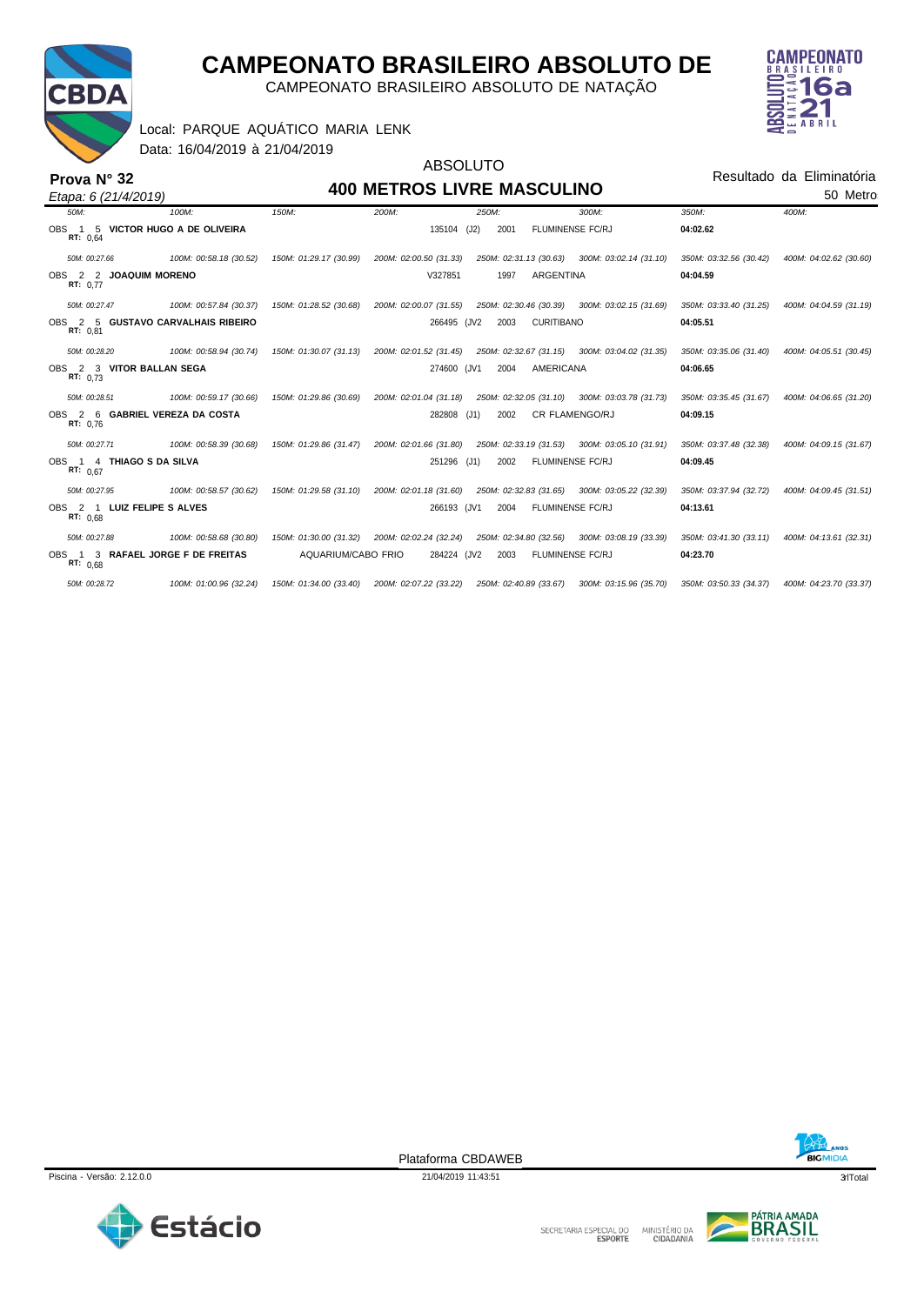

*Etapa: 6 (21/4/2019)*

**Prova N° 32**

# **CAMPEONATO BRASILEIRO ABSOLUTO DE**

CAMPEONATO BRASILEIRO ABSOLUTO DE NATAÇÃO



Local: PARQUE AQUÁTICO MARIA LENK

Data: 16/04/2019 à 21/04/2019

# ABSOLUTO **400 METROS LIVRE MASCULINO** (J2)

Resultado da Eliminatória 50 Metros

| 50M:                    | 100M:                             | 150M:                  | 200M:                                         | 250M:                  | 300M:                                                                | 350M:                  | 400M:                  |
|-------------------------|-----------------------------------|------------------------|-----------------------------------------------|------------------------|----------------------------------------------------------------------|------------------------|------------------------|
| OBS 1<br>-5<br>RT: 0.64 | VICTOR HUGO A DE OLIVEIRA         |                        | 135104                                        | (J2)<br>2001           | <b>FLUMINENSE FC/RJ</b>                                              | 04:02.62               |                        |
| 50M: 00:27.66           | 100M: 00:58.18 (30.52)            | 150M: 01:29.17 (30.99) | 200M: 02:00.50 (31.33)                        |                        | 250M: 02:31.13 (30.63) 300M: 03:02.14 (31.10)                        | 350M: 03:32.56 (30.42) | 400M: 04:02.62 (30.60) |
| RT: 0.77                | OBS 2 2 JOAQUIM MORENO            |                        | V327851                                       | 1997                   | <b>ARGENTINA</b>                                                     | 04:04.59               |                        |
| 50M: 00:27.47           | 100M: 00:57.84 (30.37)            | 150M: 01:28.52 (30.68) | 200M: 02:00.07 (31.55)                        |                        | 250M: 02:30.46 (30.39) 300M: 03:02.15 (31.69)                        | 350M: 03:33.40 (31.25) | 400M: 04:04.59 (31.19) |
| OBS 2 5<br>RT: 0.81     | <b>GUSTAVO CARVALHAIS RIBEIRO</b> |                        | 266495 (JV2                                   | 2003                   | <b>CURITIBANO</b>                                                    | 04:05.51               |                        |
| 50M: 00:28.20           | 100M: 00:58.94 (30.74)            | 150M: 01:30.07 (31.13) | 200M: 02:01.52 (31.45)                        |                        | 250M: 02:32.67 (31.15) 300M: 03:04.02 (31.35)                        | 350M: 03:35.06 (31.40) | 400M: 04:05.51 (30.45) |
| RT: 0.73                | OBS 2 3 VITOR BALLAN SEGA         |                        | 274600 (JV1                                   | 2004                   | AMERICANA                                                            | 04:06.65               |                        |
| 50M: 00:28.51           | 100M: 00:59.17 (30.66)            | 150M: 01:29.86 (30.69) | 200M: 02:01.04 (31.18)                        |                        | 250M: 02:32.05 (31.10) 300M: 03:03.78 (31.73)                        | 350M: 03:35.45 (31.67) | 400M: 04:06.65 (31.20) |
| OBS 2<br>-6<br>RT: 0.76 | <b>GABRIEL VEREZA DA COSTA</b>    |                        | 282808 (J1)                                   | 2002                   | <b>CR FLAMENGO/RJ</b>                                                | 04:09.15               |                        |
| 50M: 00:27.71           | 100M: 00:58.39 (30.68)            | 150M: 01:29.86 (31.47) | 200M: 02:01.66 (31.80)                        |                        | 250M: 02:33.19 (31.53) 300M: 03:05.10 (31.91)                        | 350M: 03:37.48 (32.38) | 400M: 04:09.15 (31.67) |
| RT: 0.67                | OBS 1 4 THIAGO S DA SILVA         |                        | 251296 (J1)                                   | 2002                   | FLUMINENSE FC/RJ                                                     | 04:09.45               |                        |
| 50M: 00:27.95           | 100M: 00:58.57 (30.62)            | 150M: 01:29.58 (31.10) | 200M: 02:01.18 (31.60)                        | 250M: 02:32.83 (31.65) | 300M: 03:05.22 (32.39)                                               | 350M: 03:37.94 (32.72) | 400M: 04:09.45 (31.51) |
| OBS 2 1<br>RT: 0.68     | LUIZ FELIPE S ALVES               |                        | 266193 (JV1                                   | 2004                   | <b>FLUMINENSE FC/RJ</b>                                              | 04:13.61               |                        |
| 50M: 00:27.88           | 100M: 00:58.68 (30.80)            | 150M: 01:30.00 (31.32) |                                               |                        | 200M: 02:02.24 (32.24) 250M: 02:34.80 (32.56) 300M: 03:08.19 (33.39) | 350M: 03:41.30 (33.11) | 400M: 04:13.61 (32.31) |
| RT: 0.68                | OBS 1 3 RAFAEL JORGE F DE FREITAS | AQUARIUM/CABO FRIO     | 284224 (JV2                                   | 2003                   | <b>FLUMINENSE FC/RJ</b>                                              | 04:23.70               |                        |
| 50M: 00:28.72           | 100M: 01:00.96 (32.24)            | 150M: 01:34.00 (33.40) | 200M: 02:07.22 (33.22) 250M: 02:40.89 (33.67) |                        | 300M: 03:15.96 (35.70)                                               | 350M: 03:50.33 (34.37) | 400M: 04:23.70 (33.37) |





Plataforma CBDAWEB



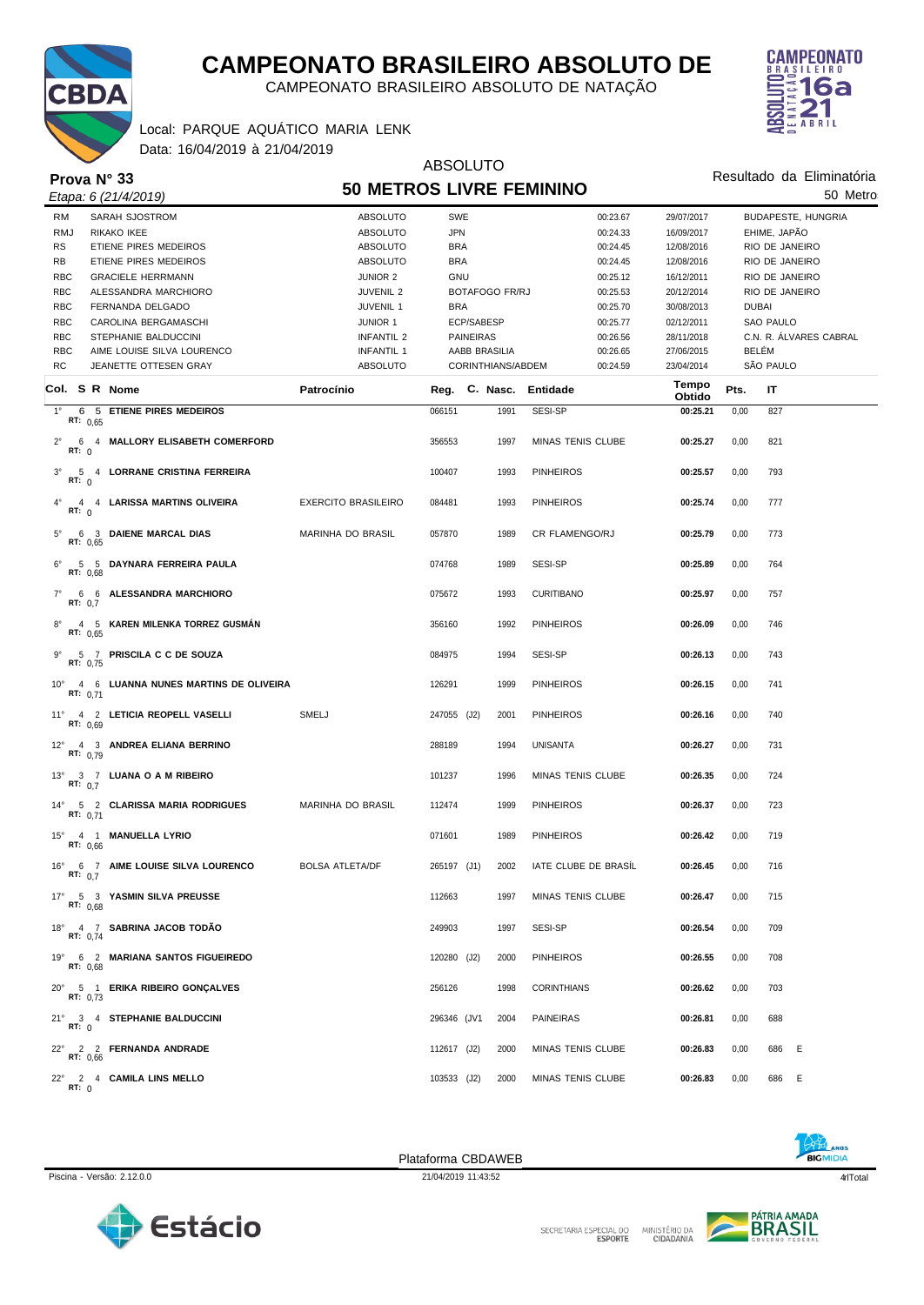

CAMPEONATO BRASILEIRO ABSOLUTO DE NATAÇÃO

ABSOLUTO



Resultado da Eliminatória

Data: 16/04/2019 à 21/04/2019 Local: PARQUE AQUÁTICO MARIA LENK

**Prova N° 33**

|             | Prova N° 33                                            | <b>50 METROS LIVRE FEMININO</b> |                        |                       |                          | Resultado da Eliminatoria |      |                           |  |
|-------------|--------------------------------------------------------|---------------------------------|------------------------|-----------------------|--------------------------|---------------------------|------|---------------------------|--|
|             | Etapa: 6 (21/4/2019)                                   |                                 |                        |                       | 50 Metro                 |                           |      |                           |  |
| RM          | SARAH SJOSTROM                                         | <b>ABSOLUTO</b>                 | SWE                    |                       | 00:23.67                 | 29/07/2017                |      | <b>BUDAPESTE, HUNGRIA</b> |  |
| <b>RMJ</b>  | RIKAKO IKEE                                            | ABSOLUTO                        | <b>JPN</b>             |                       | 00:24.33                 | 16/09/2017                |      | EHIME, JAPÃO              |  |
| <b>RS</b>   | ETIENE PIRES MEDEIROS                                  | ABSOLUTO                        | <b>BRA</b>             |                       | 00:24.45                 | 12/08/2016                |      | RIO DE JANEIRO            |  |
| RB          | ETIENE PIRES MEDEIROS                                  | <b>ABSOLUTO</b>                 | <b>BRA</b>             |                       | 00:24.45                 | 12/08/2016                |      | RIO DE JANEIRO            |  |
| <b>RBC</b>  | <b>GRACIELE HERRMANN</b>                               | JUNIOR 2                        | GNU                    |                       | 00:25.12                 | 16/12/2011                |      | RIO DE JANEIRO            |  |
| <b>RBC</b>  | ALESSANDRA MARCHIORO                                   | <b>JUVENIL 2</b>                |                        | <b>BOTAFOGO FR/RJ</b> | 00:25.53                 | 20/12/2014                |      | RIO DE JANEIRO            |  |
| <b>RBC</b>  | FERNANDA DELGADO                                       | JUVENIL 1                       | <b>BRA</b>             |                       | 00:25.70                 | 30/08/2013                |      | <b>DUBAI</b>              |  |
| <b>RBC</b>  | CAROLINA BERGAMASCHI                                   | <b>JUNIOR 1</b>                 | ECP/SABESP             |                       | 00:25.77                 | 02/12/2011                |      | SAO PAULO                 |  |
| <b>RBC</b>  | STEPHANIE BALDUCCINI                                   | INFANTIL 2                      | <b>PAINEIRAS</b>       |                       | 00:26.56                 | 28/11/2018                |      | C.N. R. ALVARES CABRAL    |  |
| <b>RBC</b>  | AIME LOUISE SILVA LOURENCO                             | <b>INFANTIL 1</b>               |                        | AABB BRASILIA         | 00:26.65                 | 27/06/2015                |      | BELÉM                     |  |
| <b>RC</b>   | JEANETTE OTTESEN GRAY                                  | <b>ABSOLUTO</b>                 |                        | CORINTHIANS/ABDEM     | 00:24.59                 | 23/04/2014                |      | SÃO PAULO                 |  |
|             | Col. S R Nome                                          | Patrocínio                      | Reg. C. Nasc. Entidade |                       |                          | Tempo<br>Obtido           | Pts. | IT                        |  |
| $1^{\circ}$ | 6 5 ETIENE PIRES MEDEIROS                              |                                 | 066151                 | 1991                  | SESI-SP                  | 00:25.21                  | 0,00 | 827                       |  |
|             | RT: $0.65$                                             |                                 |                        |                       |                          |                           |      |                           |  |
| $2^{\circ}$ | 6 4 MALLORY ELISABETH COMERFORD<br>RT: 0               |                                 | 356553                 | 1997                  | MINAS TENIS CLUBE        | 00:25.27                  | 0,00 | 821                       |  |
| $3^\circ$   | 5 4 LORRANE CRISTINA FERREIRA<br>RT: 0                 |                                 | 100407                 | 1993                  | <b>PINHEIROS</b>         | 00:25.57                  | 0,00 | 793                       |  |
| $4^{\circ}$ | 4 4 LARISSA MARTINS OLIVEIRA<br>RT: $0$                | <b>EXERCITO BRASILEIRO</b>      | 084481                 | 1993                  | <b>PINHEIROS</b>         | 00:25.74                  | 0,00 | 777                       |  |
| $5^{\circ}$ | 6 3 DAIENE MARCAL DIAS<br>RT: 0.65                     | MARINHA DO BRASIL               | 057870                 | 1989                  | CR FLAMENGO/RJ           | 00:25.79                  | 0,00 | 773                       |  |
| $6^{\circ}$ | 5 5 DAYNARA FERREIRA PAULA<br>RT: 0.68                 |                                 | 074768                 | 1989                  | SESI-SP                  | 00:25.89                  | 0,00 | 764                       |  |
| $7^{\circ}$ | 6 6 ALESSANDRA MARCHIORO<br>RT: 0.7                    |                                 | 075672                 | 1993                  | <b>CURITIBANO</b>        | 00:25.97                  | 0,00 | 757                       |  |
| $8^{\circ}$ | 4 5 KAREN MILENKA TORREZ GUSMAN<br>RT: 0.65            |                                 | 356160                 | 1992                  | <b>PINHEIROS</b>         | 00:26.09                  | 0,00 | 746                       |  |
| $9^{\circ}$ | 5 7 PRISCILA C C DE SOUZA<br>RT: 0,75                  |                                 | 084975                 | 1994                  | SESI-SP                  | 00:26.13                  | 0,00 | 743                       |  |
|             | 10° 4 6 LUANNA NUNES MARTINS DE OLIVEIRA<br>RT: $0,71$ |                                 | 126291                 | 1999                  | <b>PINHEIROS</b>         | 00:26.15                  | 0,00 | 741                       |  |
|             | 11° 4 2 LETICIA REOPELL VASELLI<br>RT: $0.69$          | <b>SMELJ</b>                    | 247055 (J2)            | 2001                  | <b>PINHEIROS</b>         | 00:26.16                  | 0,00 | 740                       |  |
|             | 12° 4 3 ANDREA ELIANA BERRINO<br>RT: 0,79              |                                 | 288189                 | 1994                  | <b>UNISANTA</b>          | 00:26.27                  | 0,00 | 731                       |  |
|             | 13° 3 7 LUANA O A M RIBEIRO<br>RT: $0.7$               |                                 | 101237                 | 1996                  | MINAS TENIS CLUBE        | 00:26.35                  | 0,00 | 724                       |  |
|             | 14° 5 2 CLARISSA MARIA RODRIGUES<br>RT: $0,71$         | <b>MARINHA DO BRASIL</b>        | 112474                 | 1999                  | <b>PINHEIROS</b>         | 00:26.37                  | 0,00 | 723                       |  |
|             | 15° 4 1 MANUELLA LYRIO<br>RT: 0,66                     |                                 | 071601                 | 1989                  | <b>PINHEIROS</b>         | 00:26.42                  | 0,00 | 719                       |  |
|             | 16° 6 7 AIME LOUISE SILVA LOURENCO<br>RT: $0.7$        | <b>BOLSA ATLETA/DF</b>          | 265197 (J1)            | 2002                  | IATE CLUBE DE BRASIL     | 00:26.45                  | 0,00 | 716                       |  |
|             | 17° 5 3 YASMIN SILVA PREUSSE<br>RT: $0.68$             |                                 | 112663                 | 1997                  | <b>MINAS TENIS CLUBE</b> | 00:26.47                  | 0,00 | 715                       |  |
|             | 18° 4 7 SABRINA JACOB TODÃO<br>RT: 0,74                |                                 | 249903                 | 1997                  | SESI-SP                  | 00:26.54                  | 0,00 | 709                       |  |
|             | 19° 6 2 MARIANA SANTOS FIGUEIREDO<br>RT: 0,68          |                                 | 120280 (J2)            | 2000                  | <b>PINHEIROS</b>         | 00:26.55                  | 0,00 | 708                       |  |
|             | 20° 5 1 ERIKA RIBEIRO GONCALVES<br>RT: 0.73            |                                 | 256126                 | 1998                  | <b>CORINTHIANS</b>       | 00:26.62                  | 0,00 | 703                       |  |
|             | 21° 3 4 STEPHANIE BALDUCCINI<br>RT: 0                  |                                 | 296346 (JV1            | 2004                  | <b>PAINEIRAS</b>         | 00:26.81                  | 0,00 | 688                       |  |
|             | 22° 2 2 FERNANDA ANDRADE<br>RT: 0,66                   |                                 | 112617 (J2)            | 2000                  | <b>MINAS TENIS CLUBE</b> | 00:26.83                  | 0,00 | 686<br>E                  |  |
|             | 22° 2 4 CAMILA LINS MELLO<br>RT: 0                     |                                 | 103533 (J2)            | 2000                  | MINAS TENIS CLUBE        | 00:26.83                  | 0,00 | 686<br>- E                |  |



Plataforma CBDAWEB

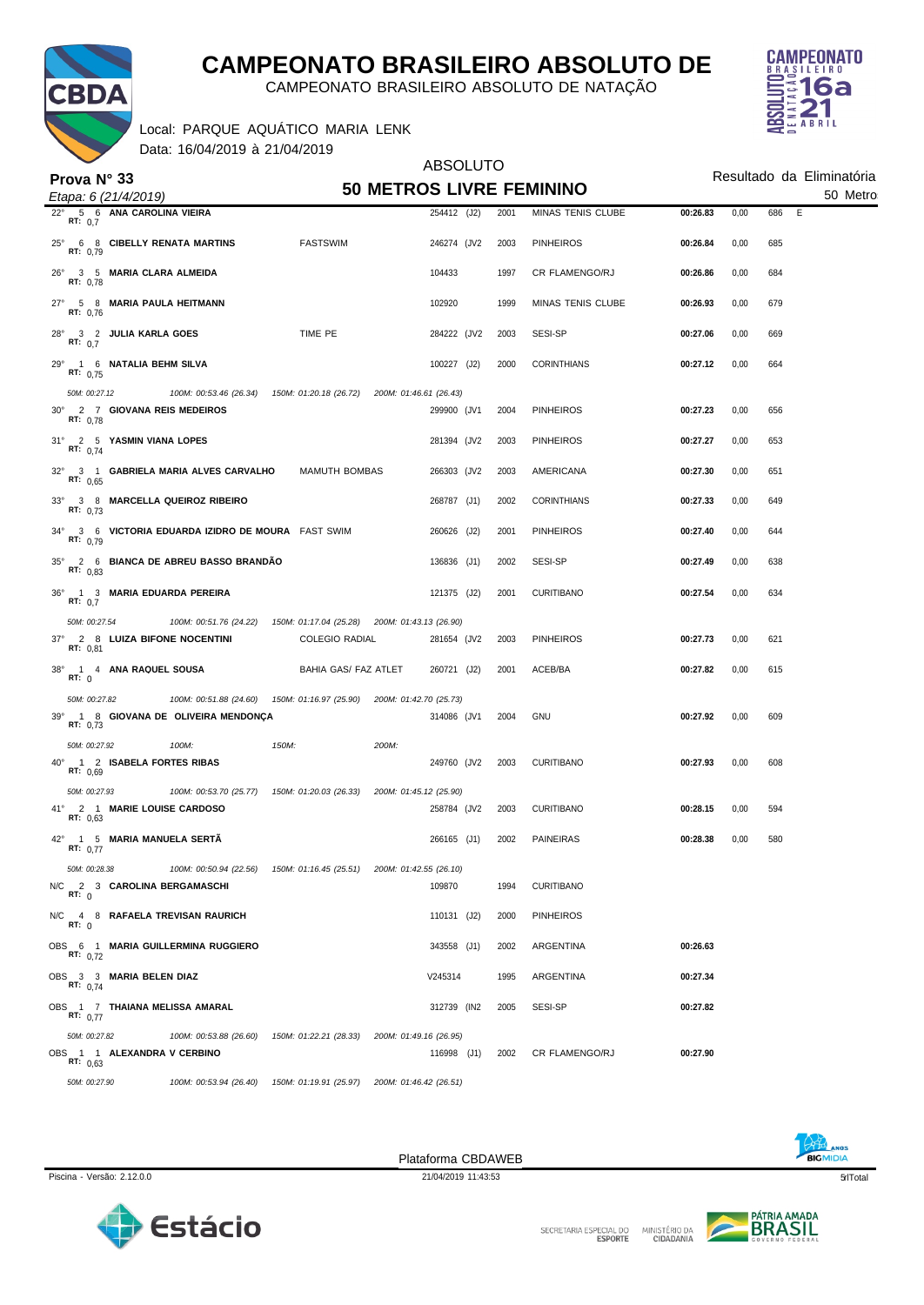

CAMPEONATO BRASILEIRO ABSOLUTO DE NATAÇÃO

Data: 16/04/2019 à 21/04/2019 Local: PARQUE AQUÁTICO MARIA LENK



|                                                                |                                                                        | <b>ABSOLUTO</b>                 |      |                    | Resultado da Eliminatória |      |          |  |  |
|----------------------------------------------------------------|------------------------------------------------------------------------|---------------------------------|------|--------------------|---------------------------|------|----------|--|--|
| Prova $N^{\circ}$ 33<br>Etapa: 6 (21/4/2019)                   |                                                                        | <b>50 METROS LIVRE FEMININO</b> |      |                    |                           |      | 50 Metro |  |  |
| 5 6 ANA CAROLINA VIEIRA<br>$22^{\circ}$<br>RT: 0.7             |                                                                        | 254412 (J2)                     | 2001 | MINAS TENIS CLUBE  | 00:26.83                  | 0,00 | 686<br>E |  |  |
| 25° 6 8 CIBELLY RENATA MARTINS<br><b>RT: 0,79</b>              | <b>FASTSWIM</b>                                                        | 246274 (JV2                     | 2003 | <b>PINHEIROS</b>   | 00:26.84                  | 0,00 | 685      |  |  |
| 26° 3 5 MARIA CLARA ALMEIDA<br>RT: 0.78                        |                                                                        | 104433                          | 1997 | CR FLAMENGO/RJ     | 00:26.86                  | 0,00 | 684      |  |  |
| 27° 5 8 MARIA PAULA HEITMANN<br>RT: 0,76                       |                                                                        | 102920                          | 1999 | MINAS TENIS CLUBE  | 00:26.93                  | 0,00 | 679      |  |  |
| 28° 3 2 JULIA KARLA GOES<br>RT: 0,7                            | TIME PE                                                                | 284222 (JV2                     | 2003 | SESI-SP            | 00:27.06                  | 0,00 | 669      |  |  |
| 29° 1 6 NATALIA BEHM SILVA<br>RT: $0.75$                       |                                                                        | 100227 (J2)                     | 2000 | <b>CORINTHIANS</b> | 00:27.12                  | 0,00 | 664      |  |  |
| 50M: 00:27.12                                                  | 100M: 00:53.46 (26.34) 150M: 01:20.18 (26.72) 200M: 01:46.61 (26.43)   |                                 |      |                    |                           |      |          |  |  |
| 30° 2 7 GIOVANA REIS MEDEIROS<br>RT: 0,78                      |                                                                        | 299900 (JV1                     | 2004 | <b>PINHEIROS</b>   | 00:27.23                  | 0,00 | 656      |  |  |
| 31° 2 5 YASMIN VIANA LOPES<br>RT: $0,74$                       |                                                                        | 281394 (JV2                     | 2003 | <b>PINHEIROS</b>   | 00:27.27                  | 0,00 | 653      |  |  |
| 32° 3 1 GABRIELA MARIA ALVES CARVALHO<br>RT: 0.65              | <b>MAMUTH BOMBAS</b>                                                   | 266303 (JV2                     | 2003 | AMERICANA          | 00:27.30                  | 0,00 | 651      |  |  |
| 33° 3 8 MARCELLA QUEIROZ RIBEIRO<br>RT: 0,73                   |                                                                        | 268787 (J1)                     | 2002 | <b>CORINTHIANS</b> | 00:27.33                  | 0,00 | 649      |  |  |
| 34° 3 6 VICTORIA EDUARDA IZIDRO DE MOURA FAST SWIM<br>RT: 0.79 |                                                                        | 260626 (J2)                     | 2001 | <b>PINHEIROS</b>   | 00:27.40                  | 0,00 | 644      |  |  |
| 35° 2 6 BIANCA DE ABREU BASSO BRANDÃO<br>RT: $0.83$            |                                                                        | 136836 (J1)                     | 2002 | SESI-SP            | 00:27.49                  | 0,00 | 638      |  |  |
| 36° 1 3 MARIA EDUARDA PEREIRA<br>RT: 0,7                       |                                                                        | 121375 (J2)                     | 2001 | <b>CURITIBANO</b>  | 00:27.54                  | 0,00 | 634      |  |  |
| 50M: 00:27.54                                                  | 100M: 00:51.76 (24.22) 150M: 01:17.04 (25.28) 200M: 01:43.13 (26.90)   |                                 |      |                    |                           |      |          |  |  |
| 37° 2 8 LUIZA BIFONE NOCENTINI<br>RT: 0,81                     | <b>COLEGIO RADIAL</b>                                                  | 281654 (JV2                     | 2003 | <b>PINHEIROS</b>   | 00:27.73                  | 0,00 | 621      |  |  |
| 38° 1 4 ANA RAQUEL SOUSA<br>RT: 0                              | BAHIA GAS/ FAZ ATLET                                                   | 260721 (J2)                     | 2001 | ACEB/BA            | 00:27.82                  | 0,00 | 615      |  |  |
| 100M: 00:51.88 (24.60)<br>50M: 00:27.82                        | 150M: 01:16.97 (25.90) 200M: 01:42.70 (25.73)                          |                                 |      |                    |                           |      |          |  |  |
| 39° 1 8 GIOVANA DE OLIVEIRA MENDONÇA<br>RT: 0,73               |                                                                        | 314086 (JV1                     | 2004 | <b>GNU</b>         | 00:27.92                  | 0,00 | 609      |  |  |
| 50M: 00:27.92<br>100M:                                         | 150M:<br>200M:                                                         |                                 |      |                    |                           |      |          |  |  |
| 40° 1 2 ISABELA FORTES RIBAS<br>RT: 0,69                       |                                                                        | 249760 (JV2                     | 2003 | <b>CURITIBANO</b>  | 00:27.93                  | 0,00 | 608      |  |  |
| 50M: 00:27.93                                                  | 100M: 00:53.70 (25.77)  150M: 01:20.03 (26.33)  200M: 01:45.12 (25.90) |                                 |      |                    |                           |      |          |  |  |
| 41° 2 1 MARIE LOUISE CARDOSO<br>RT: 0,63                       |                                                                        | 258784 (JV2                     | 2003 | <b>CURITIBANO</b>  | 00:28.15                  | 0,00 | 594      |  |  |
| 42°<br>1 5 MARIA MANUELA SERTA<br>RT: $0,77$                   |                                                                        | 266165 (J1)                     | 2002 | <b>PAINEIRAS</b>   | 00:28.38                  | 0,00 | 580      |  |  |
| 50M: 00:28.38<br>N/C<br>2 3 CAROLINA BERGAMASCHI               | 100M: 00:50.94 (22.56) 150M: 01:16.45 (25.51) 200M: 01:42.55 (26.10)   | 109870                          | 1994 | <b>CURITIBANO</b>  |                           |      |          |  |  |
| RT: 0<br>N/C 4 8 RAFAELA TREVISAN RAURICH                      |                                                                        | 110131 (J2)                     | 2000 | <b>PINHEIROS</b>   |                           |      |          |  |  |
| RT: 0                                                          |                                                                        |                                 |      |                    |                           |      |          |  |  |
| OBS 6 1 MARIA GUILLERMINA RUGGIERO<br>RT: $0.72$               |                                                                        | 343558 (J1)                     | 2002 | ARGENTINA          | 00:26.63                  |      |          |  |  |
| OBS 3 3 MARIA BELEN DIAZ<br>RT: $0,74$                         |                                                                        | V245314                         | 1995 | ARGENTINA          | 00:27.34                  |      |          |  |  |
| OBS 1 7 THAIANA MELISSA AMARAL<br>RT: $0.77$                   |                                                                        | 312739 (IN2                     | 2005 | SESI-SP            | 00:27.82                  |      |          |  |  |
| 50M: 00:27.82<br>100M: 00:53.88 (26.60)                        | 150M: 01:22.21 (28.33)                                                 | 200M: 01:49.16 (26.95)          |      |                    |                           |      |          |  |  |
| OBS 1 1 ALEXANDRA V CERBINO<br>RT: 0.63                        |                                                                        | 116998 (J1)                     | 2002 | CR FLAMENGO/RJ     | 00:27.90                  |      |          |  |  |
| 50M: 00:27.90<br>100M: 00:53.94 (26.40)                        | 150M: 01:19.91 (25.97)                                                 | 200M: 01:46.42 (26.51)          |      |                    |                           |      |          |  |  |

Piscina - Versão: 2.12.0.0 21/04/2019 11:43:53 criTotal 5/104/2019 11:43:53 criTotal 5/104/2019 11:43:53 criTotal 5/104/2019 11:43:53 criTotal 5/104/2019 11:43:53 criTotal 5/104 Plataforma CBDAWEB



**BIGMIDIA** 



MINISTÉRIO DA<br>CIDADANIA SECRETARIA ESPECIAL DO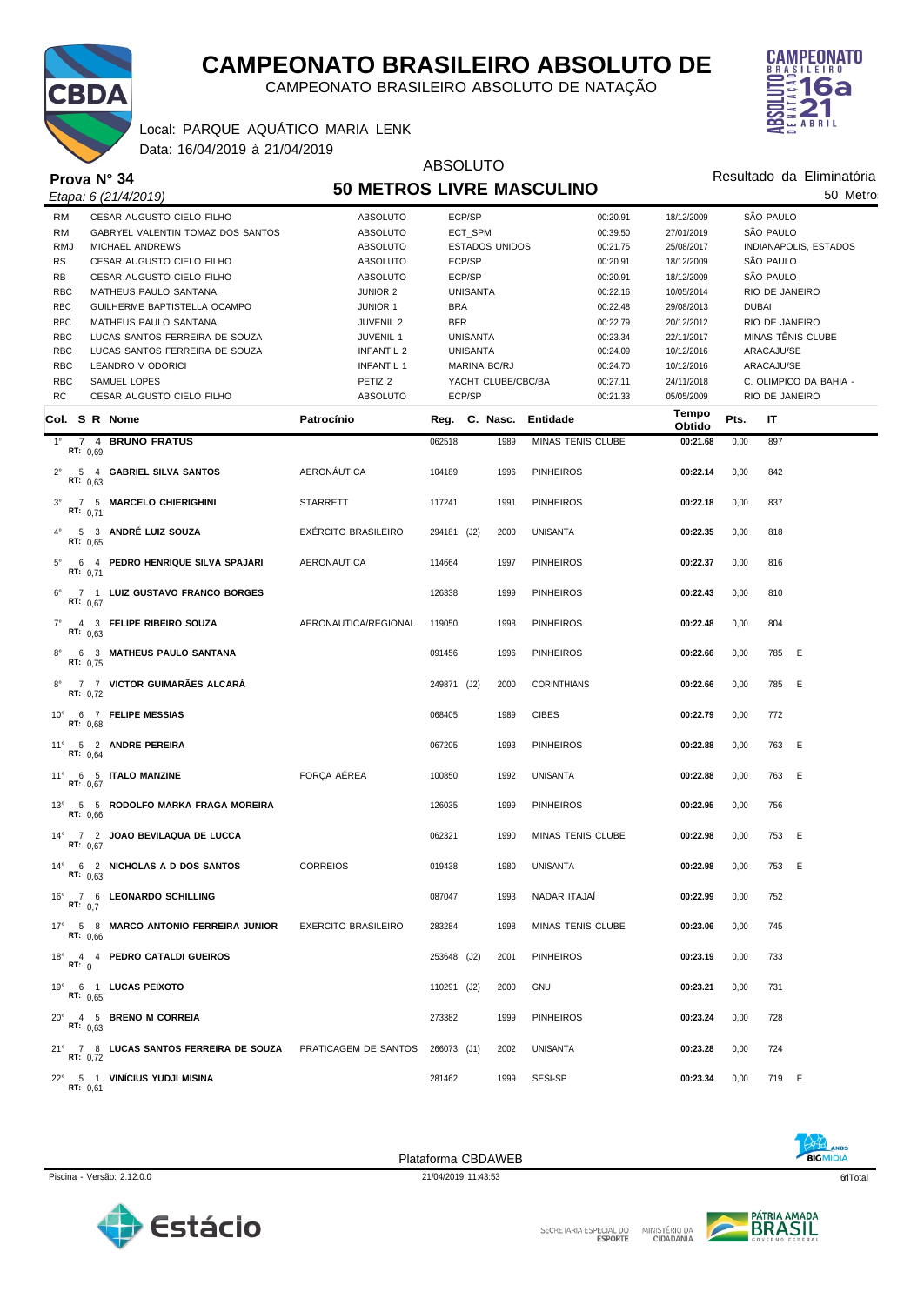

CAMPEONATO BRASILEIRO ABSOLUTO DE NATAÇÃO



Data: 16/04/2019 à 21/04/2019 Local: PARQUE AQUÁTICO MARIA LENK

|                                                                                |                                  | <b>ABSOLUTO</b>                   |                    |                    |                    |                           |                        |  |  |
|--------------------------------------------------------------------------------|----------------------------------|-----------------------------------|--------------------|--------------------|--------------------|---------------------------|------------------------|--|--|
| Prova $N^{\circ}$ 34                                                           | <b>50 METROS LIVRE MASCULINO</b> |                                   |                    |                    |                    | Resultado da Eliminatória |                        |  |  |
| Etapa: 6 (21/4/2019)                                                           |                                  |                                   |                    |                    |                    | 50 Metro                  |                        |  |  |
| CESAR AUGUSTO CIELO FILHO<br><b>RM</b>                                         | ABSOLUTO                         | ECP/SP                            |                    | 00:20.91           | 18/12/2009         |                           | SÃO PAULO              |  |  |
| <b>RM</b><br>GABRYEL VALENTIN TOMAZ DOS SANTOS                                 | ABSOLUTO                         | ECT_SPM                           |                    | 00:39.50           | 27/01/2019         |                           | SÃO PAULO              |  |  |
| <b>RMJ</b><br>MICHAEL ANDREWS                                                  | ABSOLUTO                         | <b>ESTADOS UNIDOS</b><br>00:21.75 |                    |                    | 25/08/2017         |                           | INDIANAPOLIS, ESTADOS  |  |  |
| <b>RS</b><br>CESAR AUGUSTO CIELO FILHO                                         | <b>ABSOLUTO</b>                  | ECP/SP                            |                    | 00:20.91           | 18/12/2009         |                           | SÃO PAULO              |  |  |
| RB<br>CESAR AUGUSTO CIELO FILHO                                                | ABSOLUTO                         | ECP/SP                            |                    | 00:20.91           | 18/12/2009         |                           | SÃO PAULO              |  |  |
| <b>RBC</b><br>MATHEUS PAULO SANTANA                                            | <b>JUNIOR 2</b>                  | <b>UNISANTA</b>                   |                    | 00:22.16           | 10/05/2014         |                           | RIO DE JANEIRO         |  |  |
| <b>RBC</b><br>GUILHERME BAPTISTELLA OCAMPO                                     | <b>JUNIOR 1</b>                  | <b>BRA</b>                        |                    | 00:22.48           | 29/08/2013         | <b>DUBAI</b>              |                        |  |  |
| <b>RBC</b><br>MATHEUS PAULO SANTANA                                            | <b>JUVENIL 2</b>                 | <b>BFR</b>                        |                    | 00:22.79           | 20/12/2012         |                           | RIO DE JANEIRO         |  |  |
| <b>RBC</b><br>LUCAS SANTOS FERREIRA DE SOUZA                                   | JUVENIL 1                        | <b>UNISANTA</b>                   |                    | 00:23.34           | 22/11/2017         |                           | MINAS TÊNIS CLUBE      |  |  |
| <b>RBC</b><br>LUCAS SANTOS FERREIRA DE SOUZA                                   | <b>INFANTIL 2</b>                | <b>UNISANTA</b>                   |                    | 00:24.09           | 10/12/2016         |                           | ARACAJU/SE             |  |  |
| <b>RBC</b><br>LEANDRO V ODORICI                                                | <b>INFANTIL 1</b>                |                                   | MARINA BC/RJ       | 00:24.70           | 10/12/2016         |                           | ARACAJU/SE             |  |  |
| <b>RBC</b><br>SAMUEL LOPES                                                     | PETIZ <sub>2</sub>               |                                   | YACHT CLUBE/CBC/BA | 00:27.11           | 24/11/2018         |                           | C. OLIMPICO DA BAHIA - |  |  |
| <b>RC</b><br>CESAR AUGUSTO CIELO FILHO                                         | ABSOLUTO                         | ECP/SP                            |                    | 00:21.33           | 05/05/2009         |                           | RIO DE JANEIRO         |  |  |
| Col. S R Nome                                                                  | Patrocínio                       |                                   | Reg. C. Nasc.      | Entidade           | Tempo              | Pts.                      | IT                     |  |  |
| 7 4 BRUNO FRATUS<br>$1^{\circ}$                                                |                                  | 062518                            | 1989               | MINAS TENIS CLUBE  | Obtido<br>00:21.68 | 0,00                      | 897                    |  |  |
| RT: $0.69$                                                                     |                                  |                                   |                    |                    |                    |                           |                        |  |  |
| $2^{\circ}$<br>5 4 GABRIEL SILVA SANTOS<br>RT: $0.63$                          | AERONÁUTICA                      | 104189                            | 1996               | <b>PINHEIROS</b>   | 00:22.14           | 0,00                      | 842                    |  |  |
| 7 5 MARCELO CHIERIGHINI<br>$3^\circ$<br>RT: $0.71$                             | <b>STARRETT</b>                  | 117241                            | 1991               | <b>PINHEIROS</b>   | 00:22.18           | 0,00                      | 837                    |  |  |
| 5 3 ANDRÉ LUIZ SOUZA<br>$4^{\circ}$<br>RT: $0.65$                              | <b>EXERCITO BRASILEIRO</b>       | 294181 (J2)                       | 2000               | <b>UNISANTA</b>    | 00:22.35           | 0,00                      | 818                    |  |  |
| 6 4 PEDRO HENRIQUE SILVA SPAJARI<br>$5^{\circ}$<br>RT: $0,71$                  | <b>AERONAUTICA</b>               | 114664                            | 1997               | <b>PINHEIROS</b>   | 00:22.37           | 0,00                      | 816                    |  |  |
| 7 1 LUIZ GUSTAVO FRANCO BORGES<br>$6^{\circ}$<br>RT: $0,67$                    |                                  | 126338                            | 1999               | <b>PINHEIROS</b>   | 00:22.43           | 0,00                      | 810                    |  |  |
| 4 3 FELIPE RIBEIRO SOUZA<br>$7^{\circ}$<br>RT: $0,63$                          | AERONAUTICA/REGIONAL             | 119050                            | 1998               | <b>PINHEIROS</b>   | 00:22.48           | 0,00                      | 804                    |  |  |
| 6 3 MATHEUS PAULO SANTANA<br>$8^{\circ}$<br>RT: $0,75$                         |                                  | 091456                            | 1996               | <b>PINHEIROS</b>   | 00:22.66           | 0,00                      | 785 E                  |  |  |
| 7 7 VICTOR GUIMARÃES ALCARÁ<br>$8^{\circ}$<br>RT: 0,72                         |                                  | 249871 (J2)                       | 2000               | <b>CORINTHIANS</b> | 00:22.66           | 0,00                      | 785<br>E               |  |  |
| 6 7 FELIPE MESSIAS<br>$10^{\circ}$<br>RT: 0,68                                 |                                  | 068405                            | 1989               | <b>CIBES</b>       | 00:22.79           | 0,00                      | 772                    |  |  |
| 11° 5 2 ANDRE PEREIRA<br>RT: 0,64                                              |                                  | 067205                            | 1993               | <b>PINHEIROS</b>   | 00:22.88           | 0,00                      | 763<br>- E             |  |  |
| 11° 6 5 ITALO MANZINE<br>RT: 0.67                                              | FORÇA AÉREA                      | 100850                            | 1992               | <b>UNISANTA</b>    | 00:22.88           | 0,00                      | 763<br>E               |  |  |
| 13° 5 5 RODOLFO MARKA FRAGA MOREIRA<br>RT: 0,66                                |                                  | 126035                            | 1999               | <b>PINHEIROS</b>   | 00:22.95           | 0,00                      | 756                    |  |  |
| 7 2 JOAO BEVILAQUA DE LUCCA<br>$14^{\circ}$<br>RT: $0.67$                      |                                  | 062321                            | 1990               | MINAS TENIS CLUBE  | 00:22.98           | 0,00                      | 753<br>E               |  |  |
| 14° 6 2 NICHOLAS A D DOS SANTOS<br>RT: $0.63$                                  | <b>CORREIOS</b>                  | 019438                            | 1980               | <b>UNISANTA</b>    | 00:22.98           | 0,00                      | 753 E                  |  |  |
| 16° 7 6 LEONARDO SCHILLING<br>RT: 0.7                                          |                                  | 087047                            | 1993               | NADAR ITAJAI       | 00:22.99           | 0,00                      | 752                    |  |  |
| 17° 5 8 MARCO ANTONIO FERREIRA JUNIOR<br>RT: $0.66$                            | <b>EXERCITO BRASILEIRO</b>       | 283284                            | 1998               | MINAS TENIS CLUBE  | 00:23.06           | 0,00                      | 745                    |  |  |
| 18° 4 4 PEDRO CATALDI GUEIROS<br>RT: $0$                                       |                                  | 253648 (J2)                       | 2001               | <b>PINHEIROS</b>   | 00:23.19           | 0,00                      | 733                    |  |  |
| 19° 6 1 LUCAS PEIXOTO<br>RT: $0.65$                                            |                                  | 110291 (J2)                       | 2000               | <b>GNU</b>         | 00:23.21           | 0,00                      | 731                    |  |  |
| 20° 4 5 BRENO M CORREIA<br>RT: $0.63$                                          |                                  | 273382                            | 1999               | <b>PINHEIROS</b>   | 00:23.24           | 0,00                      | 728                    |  |  |
| 21° 7 8 LUCAS SANTOS FERREIRA DE SOUZA PRATICAGEM DE SANTOS<br><b>RT:</b> 0,72 |                                  | 266073 (J1)                       | 2002               | <b>UNISANTA</b>    | 00:23.28           | 0,00                      | 724                    |  |  |
| 22° 5 1 VINÍCIUS YUDJI MISINA<br>RT: 0.61                                      |                                  | 281462                            | 1999               | SESI-SP            | 00:23.34           | 0,00                      | 719 E                  |  |  |

Estácio

Piscina - Versão: 2.12.0.0 **21/04/2019 11:43:53 21/04/2019 11:43:53 21/04/2019 11:43:53 21/04/2019 11:43:53** Plataforma CBDAWEB



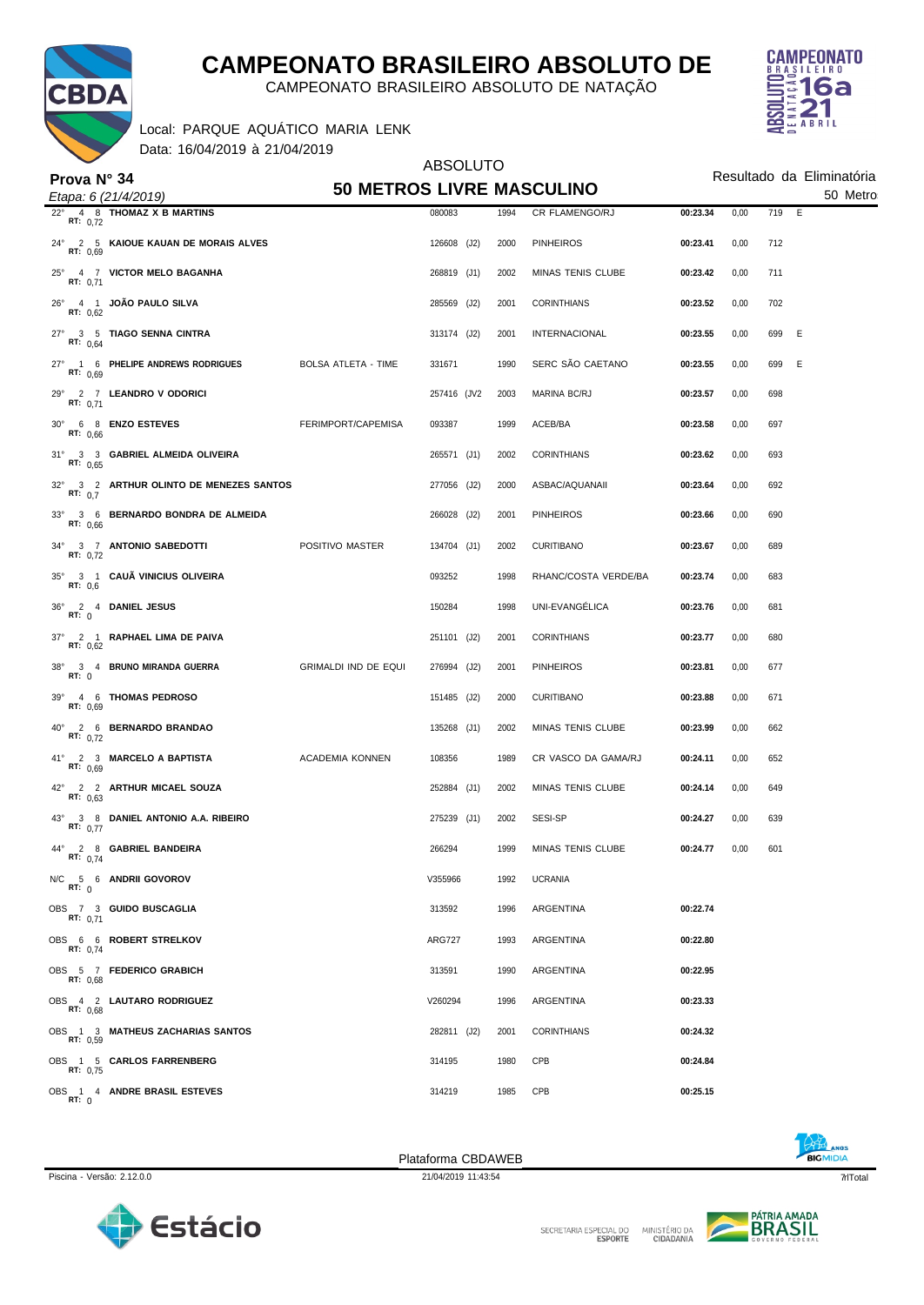

CAMPEONATO BRASILEIRO ABSOLUTO DE NATAÇÃO

Data: 16/04/2019 à 21/04/2019 Local: PARQUE AQUÁTICO MARIA LENK



|                                                           |                                  | Resultado da Eliminatória |      |                      |          |      |            |  |  |
|-----------------------------------------------------------|----------------------------------|---------------------------|------|----------------------|----------|------|------------|--|--|
| Prova $N^{\circ}$ 34<br>Etapa: 6 (21/4/2019)              | <b>50 METROS LIVRE MASCULINO</b> |                           |      |                      | 50 Metro |      |            |  |  |
| 4 8 THOMAZ X B MARTINS<br>$22^{\circ}$<br><b>RT:</b> 0,72 |                                  | 080083                    | 1994 | CR FLAMENGO/RJ       | 00:23.34 | 0,00 | 719 E      |  |  |
| 24° 2 5 KAIQUE KAUAN DE MORAIS ALVES<br><b>RT: 0.69</b>   |                                  | 126608 (J2)               | 2000 | <b>PINHEIROS</b>     | 00:23.41 | 0,00 | 712        |  |  |
| 25° 4 7 VICTOR MELO BAGANHA<br><b>RT:</b> 0,71            |                                  | 268819 (J1)               | 2002 | MINAS TENIS CLUBE    | 00:23.42 | 0,00 | 711        |  |  |
| 4 1 JOÃO PAULO SILVA<br>$26^{\circ}$<br>RT: 0.62          |                                  | 285569 (J2)               | 2001 | <b>CORINTHIANS</b>   | 00:23.52 | 0,00 | 702        |  |  |
| 27° 3 5 TIAGO SENNA CINTRA<br>RT: $0,64$                  |                                  | 313174 (J2)               | 2001 | <b>INTERNACIONAL</b> | 00:23.55 | 0,00 | - E<br>699 |  |  |
| 27° 1 6 PHELIPE ANDREWS RODRIGUES<br>RT: 0.69             | <b>BOLSA ATLETA - TIME</b>       | 331671                    | 1990 | SERC SÃO CAETANO     | 00:23.55 | 0,00 | E<br>699   |  |  |
| 29° 2 7 LEANDRO V ODORICI<br>RT: 0,71                     |                                  | 257416 (JV2               | 2003 | <b>MARINA BC/RJ</b>  | 00:23.57 | 0,00 | 698        |  |  |
| 30° 6 8 ENZO ESTEVES<br>RT: $0.66$                        | FERIMPORT/CAPEMISA               | 093387                    | 1999 | ACEB/BA              | 00:23.58 | 0,00 | 697        |  |  |
| 31° 3 3 GABRIEL ALMEIDA OLIVEIRA<br>RT: $0.65$            |                                  | 265571 (J1)               | 2002 | <b>CORINTHIANS</b>   | 00:23.62 | 0,00 | 693        |  |  |
| 32° 3 2 ARTHUR OLINTO DE MENEZES SANTOS<br>RT: 0.7        |                                  | 277056 (J2)               | 2000 | ASBAC/AQUANAII       | 00:23.64 | 0,00 | 692        |  |  |
| 33° 3 6 BERNARDO BONDRA DE ALMEIDA<br>RT: $0.66$          |                                  | 266028 (J2)               | 2001 | <b>PINHEIROS</b>     | 00:23.66 | 0,00 | 690        |  |  |
| 34° 3 7 ANTONIO SABEDOTTI<br><b>RT:</b> 0,72              | POSITIVO MASTER                  | 134704 (J1)               | 2002 | <b>CURITIBANO</b>    | 00:23.67 | 0,00 | 689        |  |  |
| 35° 3 1 CAUÃ VINICIUS OLIVEIRA<br>RT: 0,6                 |                                  | 093252                    | 1998 | RHANC/COSTA VERDE/BA | 00:23.74 | 0,00 | 683        |  |  |
| 36° 2 4 DANIEL JESUS<br>RT: 0                             |                                  | 150284                    | 1998 | UNI-EVANGÉLICA       | 00:23.76 | 0,00 | 681        |  |  |
| 37° 2 1 RAPHAEL LIMA DE PAIVA<br>RT: 0,62                 |                                  | 251101 (J2)               | 2001 | <b>CORINTHIANS</b>   | 00:23.77 | 0,00 | 680        |  |  |
| 38° 3 4 BRUNO MIRANDA GUERRA<br>RT: 0                     | <b>GRIMALDI IND DE EQUI</b>      | 276994 (J2)               | 2001 | <b>PINHEIROS</b>     | 00:23.81 | 0,00 | 677        |  |  |
| 39° 4 6 THOMAS PEDROSO<br>RT: 0,69                        |                                  | 151485 (J2)               | 2000 | <b>CURITIBANO</b>    | 00:23.88 | 0,00 | 671        |  |  |
| 40° 2 6 BERNARDO BRANDAO<br>RT: $0,72$                    |                                  | 135268 (J1)               | 2002 | MINAS TENIS CLUBE    | 00:23.99 | 0,00 | 662        |  |  |
| 41° 2 3 MARCELO A BAPTISTA<br>RT: $0,69$                  | <b>ACADEMIA KONNEN</b>           | 108356                    | 1989 | CR VASCO DA GAMA/RJ  | 00:24.11 | 0,00 | 652        |  |  |
| 42° 2 2 ARTHUR MICAEL SOUZA<br>RT: $0.63$                 |                                  | 252884 (J1)               | 2002 | MINAS TENIS CLUBE    | 00:24.14 | 0,00 | 649        |  |  |
| 43° 3 8 DANIEL ANTONIO A.A. RIBEIRO<br>RT: $0,77$         |                                  | 275239 (J1)               | 2002 | SESI-SP              | 00:24.27 | 0,00 | 639        |  |  |
| 44° 2 8 GABRIEL BANDEIRA<br>RT: $0,74$                    |                                  | 266294                    | 1999 | MINAS TENIS CLUBE    | 00:24.77 | 0,00 | 601        |  |  |
| N/C 5 6 ANDRII GOVOROV<br>RT: 0                           |                                  | V355966                   | 1992 | <b>UCRANIA</b>       |          |      |            |  |  |
| OBS 7 3 GUIDO BUSCAGLIA<br>RT: $0.71$                     |                                  | 313592                    | 1996 | ARGENTINA            | 00:22.74 |      |            |  |  |
| OBS 6 6 ROBERT STRELKOV<br>RT: 0,74                       |                                  | <b>ARG727</b>             | 1993 | ARGENTINA            | 00:22.80 |      |            |  |  |
| OBS 5 7 FEDERICO GRABICH<br>RT: 0.68                      |                                  | 313591                    | 1990 | ARGENTINA            | 00:22.95 |      |            |  |  |
| OBS 4 2 LAUTARO RODRIGUEZ<br>RT: 0.68                     |                                  | V260294                   | 1996 | ARGENTINA            | 00:23.33 |      |            |  |  |
| OBS 1 3 MATHEUS ZACHARIAS SANTOS<br>RT: 0.59              |                                  | 282811 (J2)               | 2001 | <b>CORINTHIANS</b>   | 00:24.32 |      |            |  |  |
| OBS 1 5 CARLOS FARRENBERG<br>RT: 0.75                     |                                  | 314195                    | 1980 | CPB                  | 00:24.84 |      |            |  |  |
| OBS 1 4 ANDRE BRASIL ESTEVES<br>RT: 0                     |                                  | 314219                    | 1985 | CPB                  | 00:25.15 |      |            |  |  |



Piscina - Versão: 2.12.0.0 21/04/2019 11:43:54 qrlTotal 7 Plataforma CBDAWEB



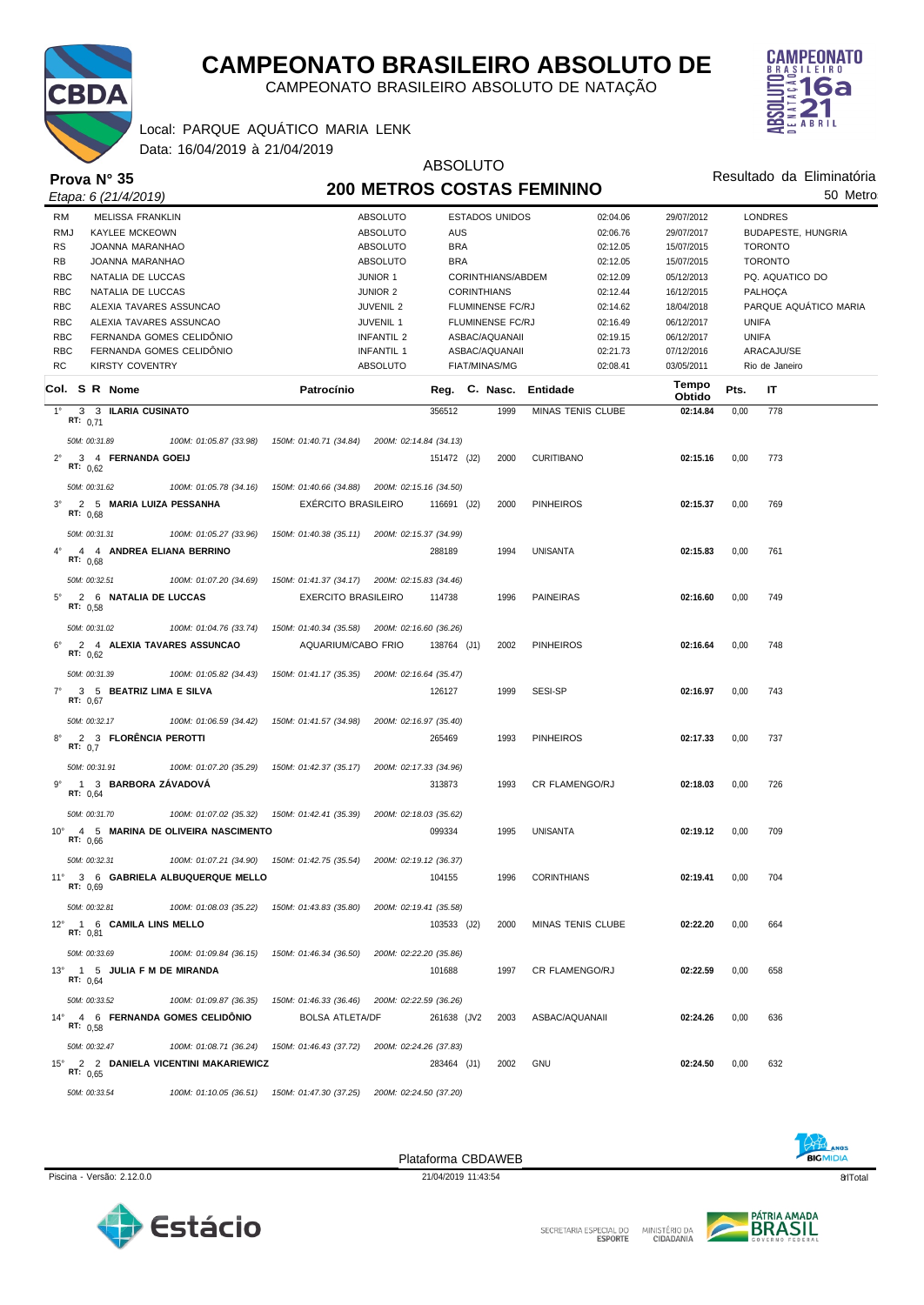

CAMPEONATO BRASILEIRO ABSOLUTO DE NATAÇÃO

ABSOLUTO

#### Data: 16/04/2019 à 21/04/2019 Local: PARQUE AQUÁTICO MARIA LENK



| Prova N° 35                                                        | <b>ADJULUTU</b><br>Resultado da Eliminatória<br><b>200 METROS COSTAS FEMININO</b>                                   |                         |          |                          |                 |                            |                           |  |
|--------------------------------------------------------------------|---------------------------------------------------------------------------------------------------------------------|-------------------------|----------|--------------------------|-----------------|----------------------------|---------------------------|--|
| Etapa: 6 (21/4/2019)                                               |                                                                                                                     |                         |          |                          |                 |                            | 50 Metro                  |  |
| <b>RM</b><br><b>MELISSA FRANKLIN</b>                               | <b>ABSOLUTO</b>                                                                                                     | <b>ESTADOS UNIDOS</b>   |          | 02:04.06                 | 29/07/2012      |                            | <b>LONDRES</b>            |  |
| <b>RMJ</b><br><b>KAYLEE MCKEOWN</b>                                | <b>ABSOLUTO</b>                                                                                                     | AUS                     |          | 02:06.76                 | 29/07/2017      |                            | <b>BUDAPESTE, HUNGRIA</b> |  |
| <b>RS</b><br>JOANNA MARANHAO                                       | <b>ABSOLUTO</b>                                                                                                     | <b>BRA</b>              |          | 02:12.05                 | 15/07/2015      |                            | <b>TORONTO</b>            |  |
| <b>RB</b><br>JOANNA MARANHAO                                       | <b>ABSOLUTO</b>                                                                                                     | <b>BRA</b>              |          | 02:12.05                 | 15/07/2015      |                            | <b>TORONTO</b>            |  |
| <b>RBC</b><br>NATALIA DE LUCCAS<br><b>RBC</b><br>NATALIA DE LUCCAS | <b>JUNIOR 1</b><br>CORINTHIANS/ABDEM<br>02:12.09<br>05/12/2013<br><b>JUNIOR 2</b><br><b>CORINTHIANS</b><br>02:12.44 |                         |          |                          | 16/12/2015      | PQ. AQUATICO DO<br>PALHOÇA |                           |  |
| <b>RBC</b><br>ALEXIA TAVARES ASSUNCAO                              | <b>JUVENIL 2</b>                                                                                                    | <b>FLUMINENSE FC/RJ</b> |          | 02:14.62                 | 18/04/2018      |                            | PARQUE AQUÁTICO MARIA     |  |
| <b>RBC</b><br>ALEXIA TAVARES ASSUNCAO                              | <b>JUVENIL 1</b>                                                                                                    | <b>FLUMINENSE FC/RJ</b> |          | 02:16.49                 | 06/12/2017      | <b>UNIFA</b>               |                           |  |
| <b>RBC</b><br>FERNANDA GOMES CELIDÔNIO                             | <b>INFANTIL 2</b>                                                                                                   | ASBAC/AQUANAII          |          | 02:19.15                 | 06/12/2017      | <b>UNIFA</b>               |                           |  |
| <b>RBC</b><br>FERNANDA GOMES CELIDÓNIO                             | <b>INFANTIL 1</b>                                                                                                   | ASBAC/AQUANAII          |          | 02:21.73                 | 07/12/2016      |                            | ARACAJU/SE                |  |
| <b>RC</b><br><b>KIRSTY COVENTRY</b>                                | <b>ABSOLUTO</b>                                                                                                     | <b>FIAT/MINAS/MG</b>    |          | 02:08.41                 | 03/05/2011      |                            | Rio de Janeiro            |  |
| Col. S R Nome                                                      | Patrocínio                                                                                                          | Reg.                    | C. Nasc. | Entidade                 | Tempo<br>Obtido | Pts.                       | IT                        |  |
| $1^{\circ}$<br>3 3 ILARIA CUSINATO<br>RT: $0,71$                   |                                                                                                                     | 356512                  | 1999     | MINAS TENIS CLUBE        | 02:14.84        | 0,00                       | 778                       |  |
| 50M: 00:31.89<br>100M: 01:05.87 (33.98)                            | 150M: 01:40.71 (34.84)                                                                                              | 200M: 02:14.84 (34.13)  |          |                          |                 |                            |                           |  |
| $2^{\circ}$<br>3 4 FERNANDA GOEIJ<br>RT: $0.62$                    |                                                                                                                     | 151472 (J2)             | 2000     | <b>CURITIBANO</b>        | 02:15.16        | 0,00                       | 773                       |  |
| 50M: 00:31.62<br>100M: 01:05.78 (34.16)                            | 150M: 01:40.66 (34.88) 200M: 02:15.16 (34.50)                                                                       |                         |          |                          |                 |                            |                           |  |
| $3^\circ$<br>2 5 MARIA LUIZA PESSANHA<br>RT: $0.68$                | EXÉRCITO BRASILEIRO                                                                                                 | 116691 (J2)             | 2000     | <b>PINHEIROS</b>         | 02:15.37        | 0,00                       | 769                       |  |
| 50M: 00:31.31<br>100M: 01:05.27 (33.96)                            | 150M: 01:40.38 (35.11) 200M: 02:15.37 (34.99)                                                                       |                         |          |                          |                 |                            |                           |  |
| $4^{\circ}$<br>4 4 ANDREA ELIANA BERRINO<br>RT: $0.68$             |                                                                                                                     | 288189                  | 1994     | <b>UNISANTA</b>          | 02:15.83        | 0,00                       | 761                       |  |
| 50M: 00:32.51<br>100M: 01:07.20 (34.69)                            | 150M: 01:41.37 (34.17) 200M: 02:15.83 (34.46)                                                                       |                         |          |                          |                 |                            |                           |  |
| $5^{\circ}$<br>2 6 NATALIA DE LUCCAS<br>RT: $0.58$                 | <b>EXERCITO BRASILEIRO</b>                                                                                          | 114738                  | 1996     | <b>PAINEIRAS</b>         | 02:16.60        | 0,00                       | 749                       |  |
| 50M: 00:31.02<br>100M: 01:04.76 (33.74)                            | 150M: 01:40.34 (35.58) 200M: 02:16.60 (36.26)                                                                       |                         |          |                          |                 |                            |                           |  |
| $6^{\circ}$<br>2 4 ALEXIA TAVARES ASSUNCAO<br>RT: 0,62             | AQUARIUM/CABO FRIO                                                                                                  | 138764 (J1)             | 2002     | <b>PINHEIROS</b>         | 02:16.64        | 0,00                       | 748                       |  |
| 50M: 00:31.39<br>100M: 01:05.82 (34.43)                            | 150M: 01:41.17 (35.35)                                                                                              | 200M: 02:16.64 (35.47)  |          |                          |                 |                            |                           |  |
| $7^{\circ}$<br>3 5 BEATRIZ LIMA E SILVA<br>RT: 0.67                |                                                                                                                     | 126127                  | 1999     | SESI-SP                  | 02:16.97        | 0,00                       | 743                       |  |
| 50M: 00:32.17<br>100M: 01:06.59 (34.42)                            | 150M: 01:41.57 (34.98)                                                                                              | 200M: 02:16.97 (35.40)  |          |                          |                 |                            |                           |  |
| 2 3 FLORÊNCIA PEROTTI<br>$8^\circ$<br>RT: 0,7                      |                                                                                                                     | 265469                  | 1993     | <b>PINHEIROS</b>         | 02:17.33        | 0,00                       | 737                       |  |
| 50M: 00:31.91<br>100M: 01:07.20 (35.29)                            | 150M: 01:42.37 (35.17)                                                                                              | 200M: 02:17.33 (34.96)  |          |                          |                 |                            |                           |  |
| 1 3 BARBORA ZÁVADOVÁ<br>RT: 0,64                                   |                                                                                                                     | 313873                  | 1993     | CR FLAMENGO/RJ           | 02:18.03        | 0,00                       | 726                       |  |
| 50M: 00:31.70<br>100M: 01:07.02 (35.32)                            | 150M: 01:42.41 (35.39)                                                                                              | 200M: 02:18.03 (35.62)  |          |                          |                 |                            |                           |  |
| $10^{\circ}$<br>4 5 MARINA DE OLIVEIRA NASCIMENTO<br>RT: 0,66      |                                                                                                                     | 099334                  | 1995     | <b>UNISANTA</b>          | 02:19.12        | 0,00                       | 709                       |  |
| 50M: 00:32.31                                                      | 100M: 01:07.21 (34.90) 150M: 01:42.75 (35.54) 200M: 02:19.12 (36.37)                                                |                         |          |                          |                 |                            |                           |  |
| 11° 3 6 GABRIELA ALBUQUERQUE MELLO<br>RT: 0,69                     |                                                                                                                     | 104155                  | 1996     | <b>CORINTHIANS</b>       | 02:19.41        | 0,00                       | 704                       |  |
| 50M: 00:32.81<br>100M: 01:08.03 (35.22)                            | 150M: 01:43.83 (35.80)                                                                                              | 200M: 02:19.41 (35.58)  |          |                          |                 |                            |                           |  |
| 12° 1 6 CAMILA LINS MELLO<br><b>RT: 0,81</b>                       |                                                                                                                     | 103533 (J2)             | 2000     | <b>MINAS TENIS CLUBE</b> | 02:22.20        | 0,00                       | 664                       |  |
| 50M: 00:33.69<br>100M: 01:09.84 (36.15)                            | 150M: 01:46.34 (36.50)                                                                                              | 200M: 02:22.20 (35.86)  |          |                          |                 |                            |                           |  |
| 13° 1 5 JULIA F M DE MIRANDA<br>RT: 0,64                           |                                                                                                                     | 101688                  | 1997     | CR FLAMENGO/RJ           | 02:22.59        | 0,00                       | 658                       |  |
| 50M: 00:33.52<br>100M: 01:09.87 (36.35)                            | 150M: 01:46.33 (36.46) 200M: 02:22.59 (36.26)                                                                       |                         |          |                          |                 |                            |                           |  |
| 14° 4 6 FERNANDA GOMES CELIDÔNIO<br>RT: $0,58$                     | <b>BOLSA ATLETA/DF</b>                                                                                              | 261638 (JV2             | 2003     | ASBAC/AQUANAII           | 02:24.26        | 0,00                       | 636                       |  |
| 50M: 00:32.47<br>100M: 01:08.71 (36.24)                            | 150M: 01:46.43 (37.72) 200M: 02:24.26 (37.83)                                                                       |                         |          |                          |                 |                            |                           |  |
| 15° 2 2 DANIELA VICENTINI MAKARIEWICZ<br>RT: 0,65                  |                                                                                                                     | 283464 (J1)             | 2002     | <b>GNU</b>               | 02:24.50        | 0,00                       | 632                       |  |
| 50M: 00:33.54                                                      | 100M: 01:10.05 (36.51)  150M: 01:47.30 (37.25)  200M: 02:24.50 (37.20)                                              |                         |          |                          |                 |                            |                           |  |



SECRETARIA ESPECIAL DO

MINISTÉRIO DA<br>CIDADANIA

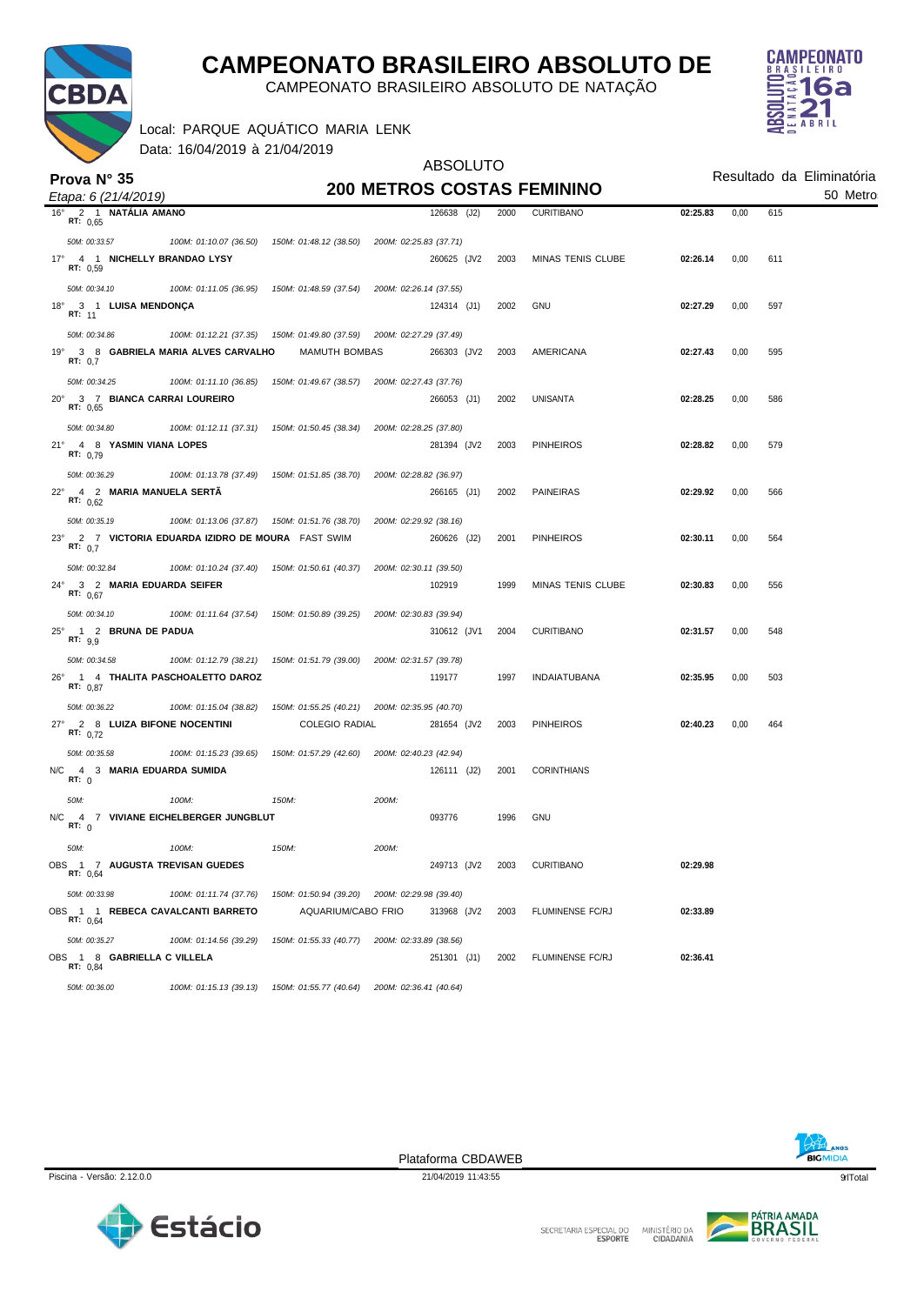

CAMPEONATO BRASILEIRO ABSOLUTO DE NATAÇÃO

ABSOLUTO



Local: PARQUE AQUÁTICO MARIA LENK

Data: 16/04/2019 à 21/04/2019

|                                                          |                                                |                                               | <b>ABSOLUTO</b>        |             |      |                                   |          | Resultado da Eliminatória |     |  |  |
|----------------------------------------------------------|------------------------------------------------|-----------------------------------------------|------------------------|-------------|------|-----------------------------------|----------|---------------------------|-----|--|--|
| Prova N° 35<br>Etapa: 6 (21/4/2019)                      |                                                |                                               |                        |             |      | <b>200 METROS COSTAS FEMININO</b> | 50 Metro |                           |     |  |  |
| 2 1 NATÁLIA AMANO<br>$16^{\circ}$                        |                                                |                                               |                        | 126638 (J2) | 2000 | <b>CURITIBANO</b>                 | 02:25.83 | 0,00                      | 615 |  |  |
| RT: 0,65                                                 |                                                |                                               |                        |             |      |                                   |          |                           |     |  |  |
| 50M: 00:33.57                                            | 100M: 01:10.07 (36.50)                         | 150M: 01:48.12 (38.50)                        | 200M: 02:25.83 (37.71) |             |      |                                   |          |                           |     |  |  |
| 17° 4 1 NICHELLY BRANDAO LYSY<br>RT: 0,59                |                                                |                                               |                        | 260625 (JV2 | 2003 | <b>MINAS TENIS CLUBE</b>          | 02:26.14 | 0,00                      | 611 |  |  |
| 50M: 00:34.10                                            | 100M: 01:11.05 (36.95)                         | 150M: 01:48.59 (37.54)                        | 200M: 02:26.14 (37.55) |             |      |                                   |          |                           |     |  |  |
| 18°<br>3 1 LUISA MENDONÇA<br><b>RT: 11</b>               |                                                |                                               |                        | 124314 (J1) | 2002 | <b>GNU</b>                        | 02:27.29 | 0,00                      | 597 |  |  |
| 50M: 00:34.86                                            | 100M: 01:12.21 (37.35)                         | 150M: 01:49.80 (37.59)                        | 200M: 02:27.29 (37.49) |             |      |                                   |          |                           |     |  |  |
| $19^{\circ}$<br>RT: 0,7                                  | 3 8 GABRIELA MARIA ALVES CARVALHO              | MAMUTH BOMBAS                                 |                        | 266303 (JV2 | 2003 | AMERICANA                         | 02:27.43 | 0,00                      | 595 |  |  |
| 50M: 00:34.25                                            | 100M: 01:11.10 (36.85)                         | 150M: 01:49.67 (38.57)                        | 200M: 02:27.43 (37.76) |             |      |                                   |          |                           |     |  |  |
| $20^{\circ}$<br>3 7 BIANCA CARRAI LOUREIRO<br>RT: 0,65   |                                                |                                               |                        | 266053 (J1) | 2002 | UNISANTA                          | 02:28.25 | 0,00                      | 586 |  |  |
| 50M: 00:34.80                                            | 100M: 01:12.11 (37.31)                         | 150M: 01:50.45 (38.34)                        | 200M: 02:28.25 (37.80) |             |      |                                   |          |                           |     |  |  |
| $21^{\circ}$<br>4 8 YASMIN VIANA LOPES<br>RT: 0,79       |                                                |                                               |                        | 281394 (JV2 | 2003 | <b>PINHEIROS</b>                  | 02:28.82 | 0,00                      | 579 |  |  |
| 50M: 00:36.29                                            | 100M: 01:13.78 (37.49)                         | 150M: 01:51.85 (38.70)                        | 200M: 02:28.82 (36.97) |             |      |                                   |          |                           |     |  |  |
| $22^{\circ}$<br>4 2 MARIA MANUELA SERTA<br>RT: $0.62$    |                                                |                                               |                        | 266165 (J1) | 2002 | <b>PAINEIRAS</b>                  | 02:29.92 | 0,00                      | 566 |  |  |
| 50M: 00:35.19                                            | 100M: 01:13.06 (37.87)                         | 150M: 01:51.76 (38.70)                        | 200M: 02:29.92 (38.16) |             |      |                                   |          |                           |     |  |  |
| $23^\circ$<br>RT: $0.7$                                  | 2 7 VICTORIA EDUARDA IZIDRO DE MOURA FAST SWIM |                                               |                        | 260626 (J2) | 2001 | <b>PINHEIROS</b>                  | 02:30.11 | 0,00                      | 564 |  |  |
| 50M: 00:32.84                                            | 100M: 01:10.24 (37.40)                         | 150M: 01:50.61 (40.37)                        | 200M: 02:30.11 (39.50) |             |      |                                   |          |                           |     |  |  |
| $24^{\circ}$<br>3 2 MARIA EDUARDA SEIFER<br>RT: 0.67     |                                                |                                               |                        | 102919      | 1999 | MINAS TENIS CLUBE                 | 02:30.83 | 0,00                      | 556 |  |  |
| 50M: 00:34.10                                            | 100M: 01:11.64 (37.54)                         | 150M: 01:50.89 (39.25)                        | 200M: 02:30.83 (39.94) |             |      |                                   |          |                           |     |  |  |
| 1 2 BRUNA DE PADUA<br>$25^{\circ}$<br>RT: 9.9            |                                                |                                               |                        | 310612 (JV1 | 2004 | <b>CURITIBANO</b>                 | 02:31.57 | 0,00                      | 548 |  |  |
| 50M: 00:34.58                                            | 100M: 01:12.79 (38.21)                         | 150M: 01:51.79 (39.00)                        | 200M: 02:31.57 (39.78) |             |      |                                   |          |                           |     |  |  |
| $26^{\circ}$<br>RT: 0,87                                 | 1 4 THALITA PASCHOALETTO DAROZ                 |                                               |                        | 119177      | 1997 | <b>INDAIATUBANA</b>               | 02:35.95 | 0,00                      | 503 |  |  |
| 50M: 00:36.22                                            | 100M: 01:15.04 (38.82)                         | 150M: 01:55.25 (40.21)                        | 200M: 02:35.95 (40.70) |             |      |                                   |          |                           |     |  |  |
| $27^{\circ}$<br>2 8 LUIZA BIFONE NOCENTINI<br>RT: $0,72$ |                                                | <b>COLEGIO RADIAL</b>                         |                        | 281654 (JV2 | 2003 | <b>PINHEIROS</b>                  | 02:40.23 | 0,00                      | 464 |  |  |
| 50M: 00:35.58                                            | 100M: 01:15.23 (39.65)                         | 150M: 01:57.29 (42.60)                        | 200M: 02:40.23 (42.94) |             |      |                                   |          |                           |     |  |  |
| N/C<br>4 3 MARIA EDUARDA SUMIDA<br>RT: 0                 |                                                |                                               |                        | 126111 (J2) | 2001 | <b>CORINTHIANS</b>                |          |                           |     |  |  |
| 50M:                                                     | 100M:                                          | 150M:                                         | 200M:                  |             |      |                                   |          |                           |     |  |  |
| N/C<br>RT: 0                                             | 4 7 VIVIANE EICHELBERGER JUNGBLUT              |                                               |                        | 093776      | 1996 | <b>GNU</b>                        |          |                           |     |  |  |
| 50M:                                                     | 100M:                                          | 150M:                                         | 200M:                  |             |      |                                   |          |                           |     |  |  |
| OBS 1 7 AUGUSTA TREVISAN GUEDES<br>RT: 0,64              |                                                |                                               |                        | 249713 (JV2 | 2003 | CURITIBANO                        | 02:29.98 |                           |     |  |  |
| 50M: 00:33.98                                            | 100M: 01:11.74 (37.76)                         | 150M: 01:50.94 (39.20) 200M: 02:29.98 (39.40) |                        |             |      |                                   |          |                           |     |  |  |
| OBS 1 1 REBECA CAVALCANTI BARRETO<br>RT: 0,64            |                                                | AQUARIUM/CABO FRIO                            |                        | 313968 (JV2 | 2003 | FLUMINENSE FC/RJ                  | 02:33.89 |                           |     |  |  |
| 50M: 00:35.27                                            | 100M: 01:14.56 (39.29)                         | 150M: 01:55.33 (40.77)                        | 200M: 02:33.89 (38.56) |             |      |                                   |          |                           |     |  |  |
| OBS 1 8 GABRIELLA C VILLELA<br>RT: 0,84                  |                                                |                                               |                        | 251301 (J1) | 2002 | FLUMINENSE FC/RJ                  | 02:36.41 |                           |     |  |  |
| 50M: 00:36.00                                            | 100M: 01:15.13 (39.13)                         | 150M: 01:55.77 (40.64)                        | 200M: 02:36.41 (40.64) |             |      |                                   |          |                           |     |  |  |



Piscina - Versão: 2.12.0.0 21/04/2019 11:43:55 **quando estabelecidade de 21/04/2019 11:43:55** contra estabelecidade de 21/04/2019 11:43:55 **quando estabelecidade de 21/04/2019 11:43:55** contra estabelecidade de 21/04/2019 Plataforma CBDAWEB



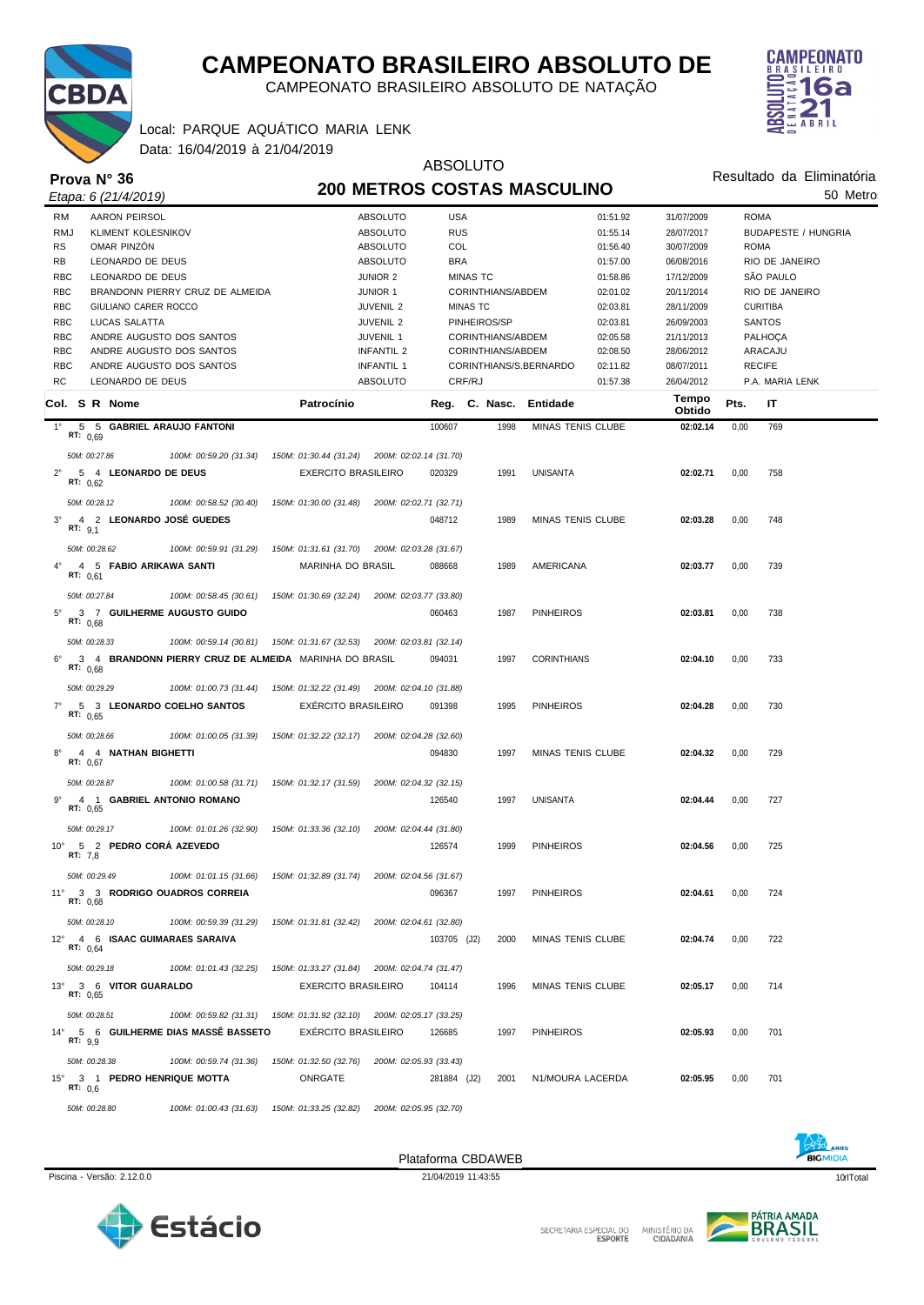

CAMPEONATO BRASILEIRO ABSOLUTO DE NATAÇÃO

### Local: PARQUE AQUÁTICO MARIA LENK



Data: 16/04/2019 à 21/04/2019

| $D$ and $D$ is in Eq. i.e. in the integration of $D$ |            |                            |                                                                      |                                               |                                    |             | <b>ABSOLUTO</b>   |                          |          |                 |                           |                            |  |
|------------------------------------------------------|------------|----------------------------|----------------------------------------------------------------------|-----------------------------------------------|------------------------------------|-------------|-------------------|--------------------------|----------|-----------------|---------------------------|----------------------------|--|
|                                                      |            | Prova $N^{\circ}$ 36       |                                                                      |                                               | <b>200 METROS COSTAS MASCULINO</b> |             |                   |                          |          |                 | Resultado da Eliminatória |                            |  |
|                                                      |            | Etapa: 6 (21/4/2019)       |                                                                      |                                               |                                    |             |                   |                          |          |                 |                           | 50 Metro                   |  |
| <b>RM</b>                                            |            | <b>AARON PEIRSOL</b>       |                                                                      |                                               | <b>ABSOLUTO</b>                    | <b>USA</b>  |                   |                          | 01:51.92 | 31/07/2009      |                           | <b>ROMA</b>                |  |
| <b>RMJ</b>                                           |            | <b>KLIMENT KOLESNIKOV</b>  |                                                                      |                                               | <b>ABSOLUTO</b>                    | <b>RUS</b>  |                   |                          | 01:55.14 | 28/07/2017      |                           | <b>BUDAPESTE / HUNGRIA</b> |  |
| <b>RS</b>                                            |            | OMAR PINZÓN                |                                                                      |                                               | ABSOLUTO                           | COL         |                   |                          | 01:56.40 | 30/07/2009      |                           | <b>ROMA</b>                |  |
| RB                                                   |            | LEONARDO DE DEUS           |                                                                      |                                               | <b>ABSOLUTO</b>                    | <b>BRA</b>  |                   |                          | 01:57.00 | 06/08/2016      |                           | RIO DE JANEIRO             |  |
| <b>RBC</b>                                           |            | LEONARDO DE DEUS           |                                                                      |                                               | <b>JUNIOR 2</b>                    |             | <b>MINAS TC</b>   |                          | 01:58.86 | 17/12/2009      |                           | SÃO PAULO                  |  |
| <b>RBC</b>                                           |            |                            | BRANDONN PIERRY CRUZ DE ALMEIDA                                      |                                               | <b>JUNIOR 1</b>                    |             | CORINTHIANS/ABDEM |                          | 02:01.02 | 20/11/2014      |                           | RIO DE JANEIRO             |  |
| <b>RBC</b>                                           |            | GIULIANO CARER ROCCO       |                                                                      |                                               | <b>JUVENIL 2</b>                   |             | <b>MINAS TC</b>   |                          | 02:03.81 | 28/11/2009      |                           | <b>CURITIBA</b>            |  |
| <b>RBC</b>                                           |            | <b>LUCAS SALATTA</b>       |                                                                      |                                               | <b>JUVENIL 2</b>                   |             | PINHEIROS/SP      |                          | 02:03.81 | 26/09/2003      |                           | <b>SANTOS</b>              |  |
| <b>RBC</b>                                           |            |                            | ANDRE AUGUSTO DOS SANTOS                                             |                                               | JUVENIL 1                          |             | CORINTHIANS/ABDEM |                          | 02:05.58 | 21/11/2013      |                           | PALHOÇA                    |  |
| <b>RBC</b>                                           |            |                            | ANDRE AUGUSTO DOS SANTOS                                             |                                               | <b>INFANTIL 2</b>                  |             | CORINTHIANS/ABDEM |                          | 02:08.50 | 28/06/2012      |                           | ARACAJU                    |  |
| <b>RBC</b>                                           |            |                            | ANDRE AUGUSTO DOS SANTOS                                             |                                               | INFANTIL 1                         |             |                   | CORINTHIANS/S.BERNARDO   | 02:11.82 | 08/07/2011      |                           | <b>RECIFE</b>              |  |
| <b>RC</b>                                            |            | LEONARDO DE DEUS           |                                                                      |                                               | <b>ABSOLUTO</b>                    |             | CRF/RJ            |                          | 01:57.38 | 26/04/2012      |                           | P.A. MARIA LENK            |  |
|                                                      |            | Col. S R Nome              |                                                                      | Patrocínio                                    |                                    |             |                   | Reg. C. Nasc. Entidade   |          | Tempo<br>Obtido | Pts.                      | IT                         |  |
| $1^{\circ}$                                          |            |                            | 5 5 GABRIEL ARAUJO FANTONI                                           |                                               |                                    | 100607      | 1998              | MINAS TENIS CLUBE        |          | 02:02.14        | 0,00                      | 769                        |  |
|                                                      | RT: $0.69$ |                            |                                                                      |                                               |                                    |             |                   |                          |          |                 |                           |                            |  |
|                                                      |            | 50M: 00:27.86              | 100M: 00:59.20 (31.34)                                               | 150M: 01:30.44 (31.24) 200M: 02:02.14 (31.70) |                                    |             |                   |                          |          |                 |                           |                            |  |
| $2^{\circ}$                                          | RT: $0.62$ | 5 4 LEONARDO DE DEUS       |                                                                      | <b>EXERCITO BRASILEIRO</b>                    |                                    | 020329      | 1991              | <b>UNISANTA</b>          |          | 02:02.71        | 0,00                      | 758                        |  |
|                                                      |            | 50M: 00:28.12              | 100M: 00:58.52 (30.40)                                               | 150M: 01:30.00 (31.48)                        | 200M: 02:02.71 (32.71)             |             |                   |                          |          |                 |                           |                            |  |
| $3^{\circ}$                                          |            |                            | 4 2 LEONARDO JOSÉ GUEDES                                             |                                               |                                    | 048712      | 1989              | <b>MINAS TENIS CLUBE</b> |          | 02:03.28        | 0,00                      | 748                        |  |
|                                                      | RT: 9,1    |                            |                                                                      |                                               |                                    |             |                   |                          |          |                 |                           |                            |  |
|                                                      |            | 50M: 00:28.62              | 100M: 00:59.91 (31.29)                                               | 150M: 01:31.61 (31.70)                        | 200M: 02:03.28 (31.67)             |             |                   |                          |          |                 |                           |                            |  |
| $4^{\circ}$                                          |            | 4 5 FABIO ARIKAWA SANTI    |                                                                      | <b>MARINHA DO BRASIL</b>                      |                                    | 088668      | 1989              | AMERICANA                |          | 02:03.77        | 0,00                      | 739                        |  |
|                                                      | RT: $0,61$ |                            |                                                                      |                                               |                                    |             |                   |                          |          |                 |                           |                            |  |
|                                                      |            | 50M: 00:27.84              | 100M: 00:58.45 (30.61)                                               | 150M: 01:30.69 (32.24)                        | 200M: 02:03.77 (33.80)             |             |                   |                          |          |                 |                           |                            |  |
| $5^{\circ}$                                          |            |                            | 3 7 GUILHERME AUGUSTO GUIDO                                          |                                               |                                    | 060463      | 1987              | <b>PINHEIROS</b>         |          | 02:03.81        | 0,00                      | 738                        |  |
|                                                      | RT: 0.68   |                            |                                                                      |                                               |                                    |             |                   |                          |          |                 |                           |                            |  |
|                                                      |            | 50M: 00:28.33              | 100M: 00:59.14 (30.81)                                               | 150M: 01:31.67 (32.53)                        | 200M: 02:03.81 (32.14)             |             |                   |                          |          |                 |                           |                            |  |
|                                                      |            |                            |                                                                      |                                               |                                    |             | 1997              |                          |          |                 |                           |                            |  |
| $6^{\circ}$                                          | RT: 0,68   |                            | 3 4 BRANDONN PIERRY CRUZ DE ALMEIDA MARINHA DO BRASIL                |                                               |                                    | 094031      |                   | <b>CORINTHIANS</b>       |          | 02:04.10        | 0,00                      | 733                        |  |
|                                                      |            | 50M: 00:29.29              | 100M: 01:00.73 (31.44)                                               | 150M: 01:32.22 (31.49) 200M: 02:04.10 (31.88) |                                    |             |                   |                          |          |                 |                           |                            |  |
|                                                      |            |                            |                                                                      |                                               |                                    |             |                   |                          |          |                 |                           |                            |  |
| $7^{\circ}$                                          | RT: $0.65$ |                            | 5 3 LEONARDO COELHO SANTOS                                           | <b>EXERCITO BRASILEIRO</b>                    |                                    | 091398      | 1995              | <b>PINHEIROS</b>         |          | 02:04.28        | 0,00                      | 730                        |  |
|                                                      |            |                            |                                                                      |                                               |                                    |             |                   |                          |          |                 |                           |                            |  |
|                                                      |            | 50M: 00:28.66              | 100M: 01:00.05 (31.39)                                               | 150M: 01:32.22 (32.17) 200M: 02:04.28 (32.60) |                                    |             |                   |                          |          |                 |                           |                            |  |
| $8^{\circ}$                                          | RT: $0,67$ | 4 4 NATHAN BIGHETTI        |                                                                      |                                               |                                    | 094830      | 1997              | <b>MINAS TENIS CLUBE</b> |          | 02:04.32        | 0,00                      | 729                        |  |
|                                                      |            |                            |                                                                      |                                               |                                    |             |                   |                          |          |                 |                           |                            |  |
|                                                      |            | 50M: 00:28.87              | 100M: 01:00.58 (31.71)                                               | 150M: 01:32.17 (31.59)                        | 200M: 02:04.32 (32.15)             |             |                   |                          |          |                 |                           |                            |  |
| $9^{\circ}$                                          | RT: 0,65   |                            | 4 1 GABRIEL ANTONIO ROMANO                                           |                                               |                                    | 126540      | 1997              | <b>UNISANTA</b>          |          | 02:04.44        | 0,00                      | 727                        |  |
|                                                      |            |                            |                                                                      |                                               |                                    |             |                   |                          |          |                 |                           |                            |  |
|                                                      |            | 50M: 00:29.17              | 100M: 01:01.26 (32.90)                                               | 150M: 01:33.36 (32.10)                        | 200M: 02:04.44 (31.80)             |             |                   |                          |          |                 |                           |                            |  |
|                                                      | RT: 7,8    | 10° 5 2 PEDRO CORÁ AZEVEDO |                                                                      |                                               |                                    | 126574      | 1999              | <b>PINHEIROS</b>         |          | 02:04.56        | 0,00                      | 725                        |  |
|                                                      |            |                            |                                                                      |                                               |                                    |             |                   |                          |          |                 |                           |                            |  |
|                                                      |            | 50M: 00:29.49              | 100M: 01:01.15 (31.66)                                               | 150M: 01:32.89 (31.74) 200M: 02:04.56 (31.67) |                                    |             |                   |                          |          |                 |                           |                            |  |
|                                                      | RT: 0,68   |                            | 11° 3 3 RODRIGO QUADROS CORREIA                                      |                                               |                                    | 096367      | 1997              | <b>PINHEIROS</b>         |          | 02:04.61        | 0,00                      | 724                        |  |
|                                                      |            |                            |                                                                      |                                               |                                    |             |                   |                          |          |                 |                           |                            |  |
|                                                      |            | 50M: 00:28.10              | 100M: 00:59.39 (31.29)                                               | 150M: 01:31.81 (32.42)                        | 200M: 02:04.61 (32.80)             |             |                   |                          |          |                 |                           |                            |  |
|                                                      | RT: 0,64   |                            | 12° 4 6 ISAAC GUIMARAES SARAIVA                                      |                                               |                                    | 103705 (J2) | 2000              | <b>MINAS TENIS CLUBE</b> |          | 02:04.74        | 0,00                      | 722                        |  |
|                                                      |            |                            |                                                                      |                                               |                                    |             |                   |                          |          |                 |                           |                            |  |
|                                                      |            | 50M: 00:29.18              | 100M: 01:01.43 (32.25)                                               | 150M: 01:33.27 (31.84) 200M: 02:04.74 (31.47) |                                    |             |                   |                          |          |                 |                           |                            |  |
|                                                      |            | 13° 3 6 VITOR GUARALDO     |                                                                      | <b>EXERCITO BRASILEIRO</b>                    |                                    | 104114      | 1996              | <b>MINAS TENIS CLUBE</b> |          | 02:05.17        | 0,00                      | 714                        |  |
|                                                      | RT: 0,65   |                            |                                                                      |                                               |                                    |             |                   |                          |          |                 |                           |                            |  |
|                                                      |            | 50M: 00:28.51              | 100M: 00:59.82 (31.31) 150M: 01:31.92 (32.10) 200M: 02:05.17 (33.25) |                                               |                                    |             |                   |                          |          |                 |                           |                            |  |
|                                                      |            |                            | 14° 5 6 GUILHERME DIAS MASSÊ BASSETO                                 | <b>EXERCITO BRASILEIRO</b>                    |                                    | 126685      | 1997              | <b>PINHEIROS</b>         |          | 02:05.93        | 0,00                      | 701                        |  |
|                                                      | RT: 9,9    |                            |                                                                      |                                               |                                    |             |                   |                          |          |                 |                           |                            |  |
|                                                      |            | 50M: 00:28.38              | 100M: 00:59.74 (31.36)                                               | 150M: 01:32.50 (32.76)                        | 200M: 02:05.93 (33.43)             |             |                   |                          |          |                 |                           |                            |  |
| $15^{\circ}$                                         |            |                            | 3 1 PEDRO HENRIQUE MOTTA                                             | ONRGATE                                       |                                    | 281884 (J2) | 2001              | N1/MOURA LACERDA         |          | 02:05.95        | 0,00                      | 701                        |  |
|                                                      | RT: $0,6$  |                            |                                                                      |                                               |                                    |             |                   |                          |          |                 |                           |                            |  |
|                                                      |            | 50M: 00:28.80              | 100M: 01:00.43 (31.63)                                               | 150M: 01:33.25 (32.82)                        | 200M: 02:05.95 (32.70)             |             |                   |                          |          |                 |                           |                            |  |



Plataforma CBDAWEB



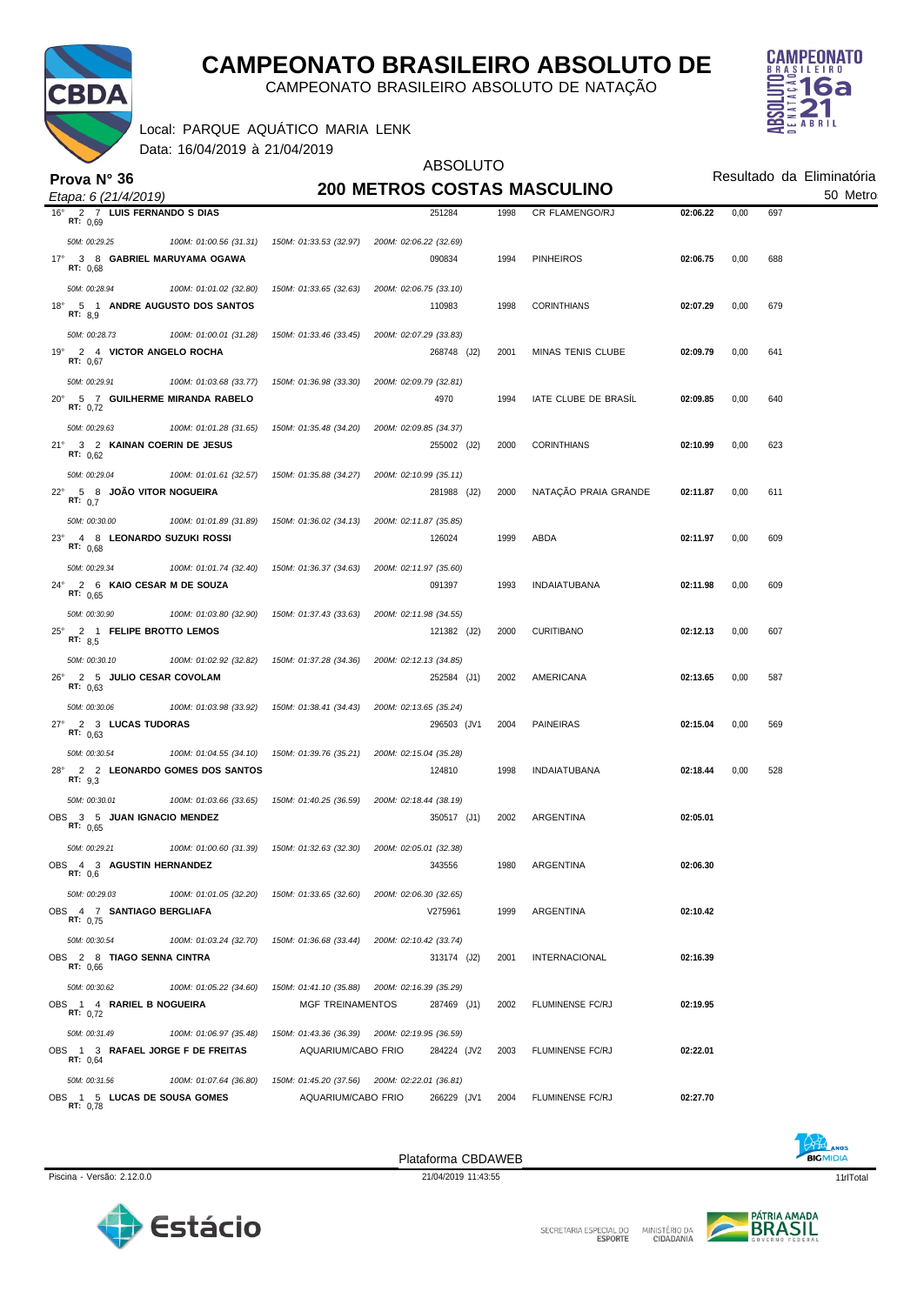

CAMPEONATO BRASILEIRO ABSOLUTO DE NATAÇÃO

Local: PARQUE AQUÁTICO MARIA LENK

Data: 16/04/2019 à 21/04/2019



|                                                                                          |                         | <b>ABSOLUTO</b>                               |      |                          |                                       |      |     |  |
|------------------------------------------------------------------------------------------|-------------------------|-----------------------------------------------|------|--------------------------|---------------------------------------|------|-----|--|
| Prova $N^{\circ}$ 36                                                                     |                         | <b>200 METROS COSTAS MASCULINO</b>            |      |                          | Resultado da Eliminatória<br>50 Metro |      |     |  |
| Etapa: 6 (21/4/2019)<br>$16^{\circ}$<br>2 7 LUIS FERNANDO S DIAS                         |                         | 251284                                        | 1998 | CR FLAMENGO/RJ           | 02:06.22                              | 0,00 | 697 |  |
| RT: 0,69                                                                                 |                         |                                               |      |                          |                                       |      |     |  |
| 50M: 00:29.25<br>100M: 01:00.56 (31.31)                                                  | 150M: 01:33.53 (32.97)  | 200M: 02:06.22 (32.69)                        |      |                          |                                       |      |     |  |
| $17^{\circ}$<br>3 8 GABRIEL MARUYAMA OGAWA<br>RT: 0.68                                   |                         | 090834                                        | 1994 | <b>PINHEIROS</b>         | 02:06.75                              | 0,00 | 688 |  |
| 50M: 00:28.94<br>100M: 01:01.02 (32.80)                                                  | 150M: 01:33.65 (32.63)  | 200M: 02:06.75 (33.10)                        |      |                          |                                       |      |     |  |
| 5 1 ANDRE AUGUSTO DOS SANTOS<br>$18^{\circ}$                                             |                         | 110983                                        | 1998 | <b>CORINTHIANS</b>       | 02:07.29                              | 0,00 | 679 |  |
| RT: 8,9                                                                                  |                         |                                               |      |                          |                                       |      |     |  |
| 50M: 00:28.73<br>100M: 01:00.01 (31.28)<br>2 4 VICTOR ANGELO ROCHA<br>19°                | 150M: 01:33.46 (33.45)  | 200M: 02:07.29 (33.83)<br>268748 (J2)         | 2001 | <b>MINAS TENIS CLUBE</b> | 02:09.79                              | 0,00 | 641 |  |
| RT: 0,67                                                                                 |                         |                                               |      |                          |                                       |      |     |  |
| 50M: 00:29.91<br>100M: 01:03.68 (33.77)                                                  | 150M: 01:36.98 (33.30)  | 200M: 02:09.79 (32.81)                        |      |                          |                                       |      |     |  |
| 5 7 GUILHERME MIRANDA RABELO<br>$20^{\circ}$<br>RT: 0,72                                 |                         | 4970                                          | 1994 | IATE CLUBE DE BRASIL     | 02:09.85                              | 0,00 | 640 |  |
| 50M: 00:29.63<br>100M: 01:01.28 (31.65)                                                  | 150M: 01:35.48 (34.20)  | 200M: 02:09.85 (34.37)                        |      |                          |                                       |      |     |  |
| 3 2 KAINAN COERIN DE JESUS<br>$21^{\circ}$                                               |                         | 255002 (J2)                                   | 2000 | <b>CORINTHIANS</b>       | 02:10.99                              | 0,00 | 623 |  |
| RT: $0.62$                                                                               |                         |                                               |      |                          |                                       |      |     |  |
| 50M: 00:29.04<br>100M: 01:01.61 (32.57)<br>$22^{\circ}$<br>5 8 JOÃO VITOR NOGUEIRA       | 150M: 01:35.88 (34.27)  | 200M: 02:10.99 (35.11)<br>281988 (J2)         |      | NATAÇÃO PRAIA GRANDE     |                                       | 0,00 | 611 |  |
| RT: $0,7$                                                                                |                         |                                               | 2000 |                          | 02:11.87                              |      |     |  |
| 50M: 00:30.00<br>100M: 01:01.89 (31.89)                                                  | 150M: 01:36.02 (34.13)  | 200M: 02:11.87 (35.85)                        |      |                          |                                       |      |     |  |
| 4 8 LEONARDO SUZUKI ROSSI<br>$23^\circ$<br>RT: 0,68                                      |                         | 126024                                        | 1999 | ABDA                     | 02:11.97                              | 0,00 | 609 |  |
| 50M: 00:29.34<br>100M: 01:01.74 (32.40)                                                  | 150M: 01:36.37 (34.63)  | 200M: 02:11.97 (35.60)                        |      |                          |                                       |      |     |  |
| $24^{\circ}$<br>2 6 KAIO CESAR M DE SOUZA                                                |                         | 091397                                        | 1993 | INDAIATUBANA             | 02:11.98                              | 0,00 | 609 |  |
| RT: $0,65$                                                                               |                         |                                               |      |                          |                                       |      |     |  |
| 50M: 00:30.90<br>100M: 01:03.80 (32.90)<br>2 1 FELIPE BROTTO LEMOS                       | 150M: 01:37.43 (33.63)  | 200M: 02:11.98 (34.55)                        |      | <b>CURITIBANO</b>        |                                       | 0,00 |     |  |
| $25^{\circ}$<br>RT: 8,5                                                                  |                         | 121382 (J2)                                   | 2000 |                          | 02:12.13                              |      | 607 |  |
| 50M: 00:30.10<br>100M: 01:02.92 (32.82)                                                  | 150M: 01:37.28 (34.36)  | 200M: 02:12.13 (34.85)                        |      |                          |                                       |      |     |  |
| 2 5 JULIO CESAR COVOLAM<br>$26^{\circ}$<br>RT: $0,63$                                    |                         | 252584 (J1)                                   | 2002 | AMERICANA                | 02:13.65                              | 0,00 | 587 |  |
| 50M: 00:30.06<br>100M: 01:03.98 (33.92)                                                  | 150M: 01:38.41 (34.43)  | 200M: 02:13.65 (35.24)                        |      |                          |                                       |      |     |  |
| $27^{\circ}$<br>2 3 LUCAS TUDORAS                                                        |                         | 296503 (JV1                                   | 2004 | <b>PAINEIRAS</b>         | 02:15.04                              | 0,00 | 569 |  |
| RT: 0,63                                                                                 |                         |                                               |      |                          |                                       |      |     |  |
| 50M: 00:30.54<br>100M: 01:04.55 (34.10)<br>2 2 LEONARDO GOMES DOS SANTOS<br>$28^{\circ}$ | 150M: 01:39.76 (35.21)  | 200M: 02:15.04 (35.28)<br>124810              | 1998 | INDAIATUBANA             | 02:18.44                              | 0,00 | 528 |  |
| RT: 9,3                                                                                  |                         |                                               |      |                          |                                       |      |     |  |
| 50M: 00:30.01<br>100M: 01:03.66 (33.65)                                                  | 150M: 01:40.25 (36.59)  | 200M: 02:18.44 (38.19)                        |      |                          |                                       |      |     |  |
| OBS 3 5 JUAN IGNACIO MENDEZ<br>RT: $0.65$                                                |                         | 350517 (J1)                                   | 2002 | ARGENTINA                | 02:05.01                              |      |     |  |
| 50M: 00:29.21<br>100M: 01:00.60 (31.39)                                                  | 150M: 01:32.63 (32.30)  | 200M: 02:05.01 (32.38)                        |      |                          |                                       |      |     |  |
| OBS 4 3 AGUSTIN HERNANDEZ                                                                |                         | 343556                                        | 1980 | ARGENTINA                | 02:06.30                              |      |     |  |
| RT: 0,6                                                                                  |                         |                                               |      |                          |                                       |      |     |  |
| 50M: 00:29.03<br>100M: 01:01.05 (32.20)                                                  | 150M: 01:33.65 (32.60)  | 200M: 02:06.30 (32.65)                        | 1999 |                          | 02:10.42                              |      |     |  |
| OBS 4 7 SANTIAGO BERGLIAFA<br>RT: 0,75                                                   |                         | V275961                                       |      | ARGENTINA                |                                       |      |     |  |
| 50M: 00:30.54<br>100M: 01:03.24 (32.70)                                                  | 150M: 01:36.68 (33.44)  | 200M: 02:10.42 (33.74)                        |      |                          |                                       |      |     |  |
| OBS 2 8 TIAGO SENNA CINTRA<br>RT: 0,66                                                   |                         | 313174 (J2)                                   | 2001 | <b>INTERNACIONAL</b>     | 02:16.39                              |      |     |  |
| 50M: 00:30.62<br>100M: 01:05.22 (34.60)                                                  | 150M: 01:41.10 (35.88)  | 200M: 02:16.39 (35.29)                        |      |                          |                                       |      |     |  |
| OBS 1 4 RARIEL B NOGUEIRA                                                                | <b>MGF TREINAMENTOS</b> | 287469 (J1)                                   | 2002 | <b>FLUMINENSE FC/RJ</b>  | 02:19.95                              |      |     |  |
| RT: 0,72                                                                                 |                         |                                               |      |                          |                                       |      |     |  |
| 50M: 00:31.49<br>100M: 01:06.97 (35.48)<br>OBS 1 3 RAFAEL JORGE F DE FREITAS             |                         | 150M: 01:43.36 (36.39) 200M: 02:19.95 (36.59) |      |                          | 02:22.01                              |      |     |  |
| RT: 0,64                                                                                 | AQUARIUM/CABO FRIO      | 284224 (JV2                                   | 2003 | FLUMINENSE FC/RJ         |                                       |      |     |  |
| 50M: 00:31.56<br>100M: 01:07.64 (36.80)                                                  |                         | 150M: 01:45.20 (37.56) 200M: 02:22.01 (36.81) |      |                          |                                       |      |     |  |
| OBS 1 5 LUCAS DE SOUSA GOMES<br>RT: 0.78                                                 | AQUARIUM/CABO FRIO      | 266229 (JV1                                   | 2004 | FLUMINENSE FC/RJ         | 02:27.70                              |      |     |  |

**EIGMIDIA** 



Piscina - Versão: 2.12.0.0 21/04/2019 11:43:55 11qrlTotal Plataforma CBDAWEB

MINISTÉRIO DA<br>CIDADANIA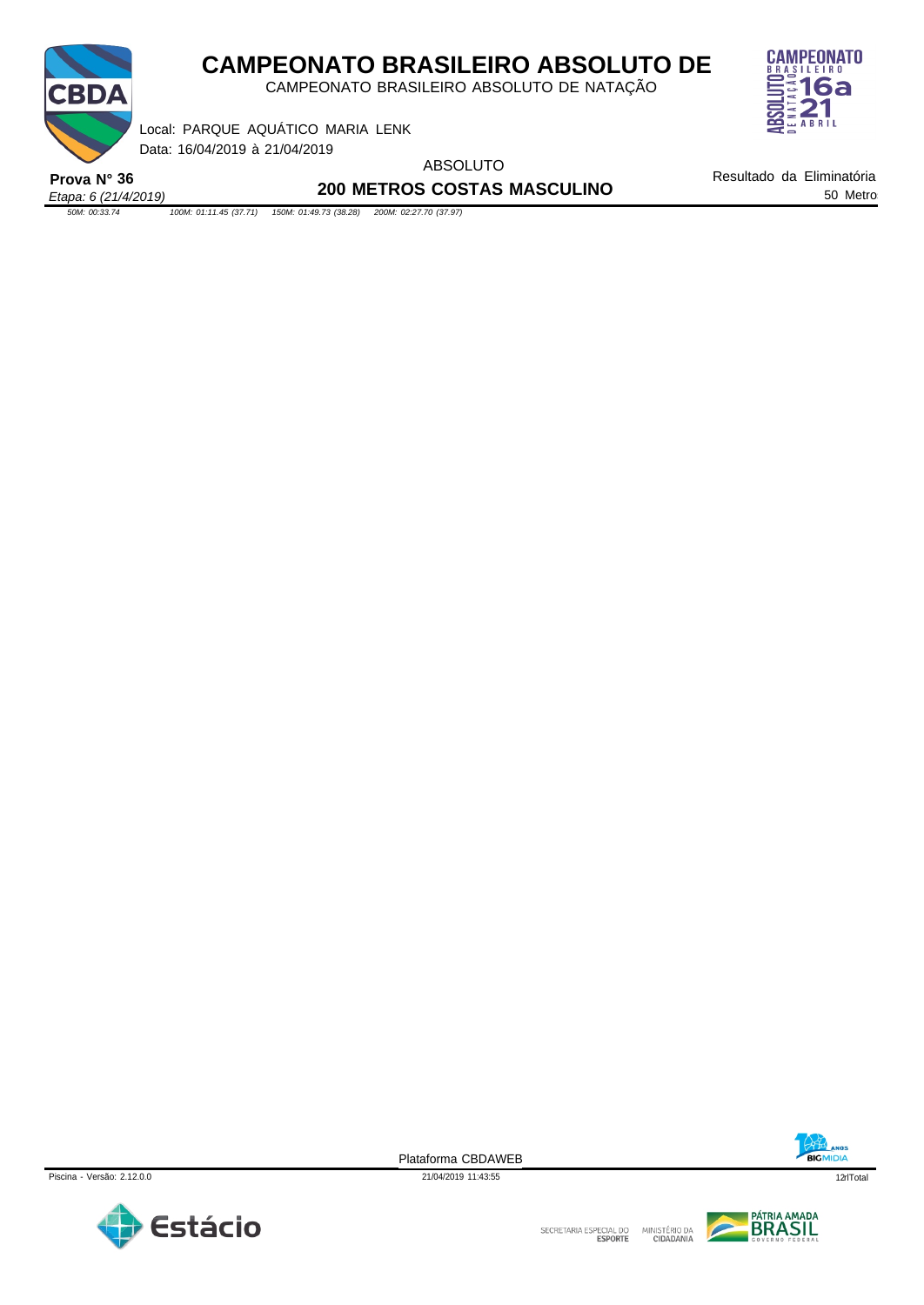

CAMPEONATO BRASILEIRO ABSOLUTO DE NATAÇÃO



Data: 16/04/2019 à 21/04/2019 Local: PARQUE AQUÁTICO MARIA LENK

ABSOLUTO

*Etapa: 6 (21/4/2019)* **Prova N° 36**

**200 METROS COSTAS MASCULINO**

Resultado da Eliminatória 50 Metros

*50M: 00:33.74 100M: 01:11.45 (37.71) 150M: 01:49.73 (38.28) 200M: 02:27.70 (37.97)*





Plataforma CBDAWEB

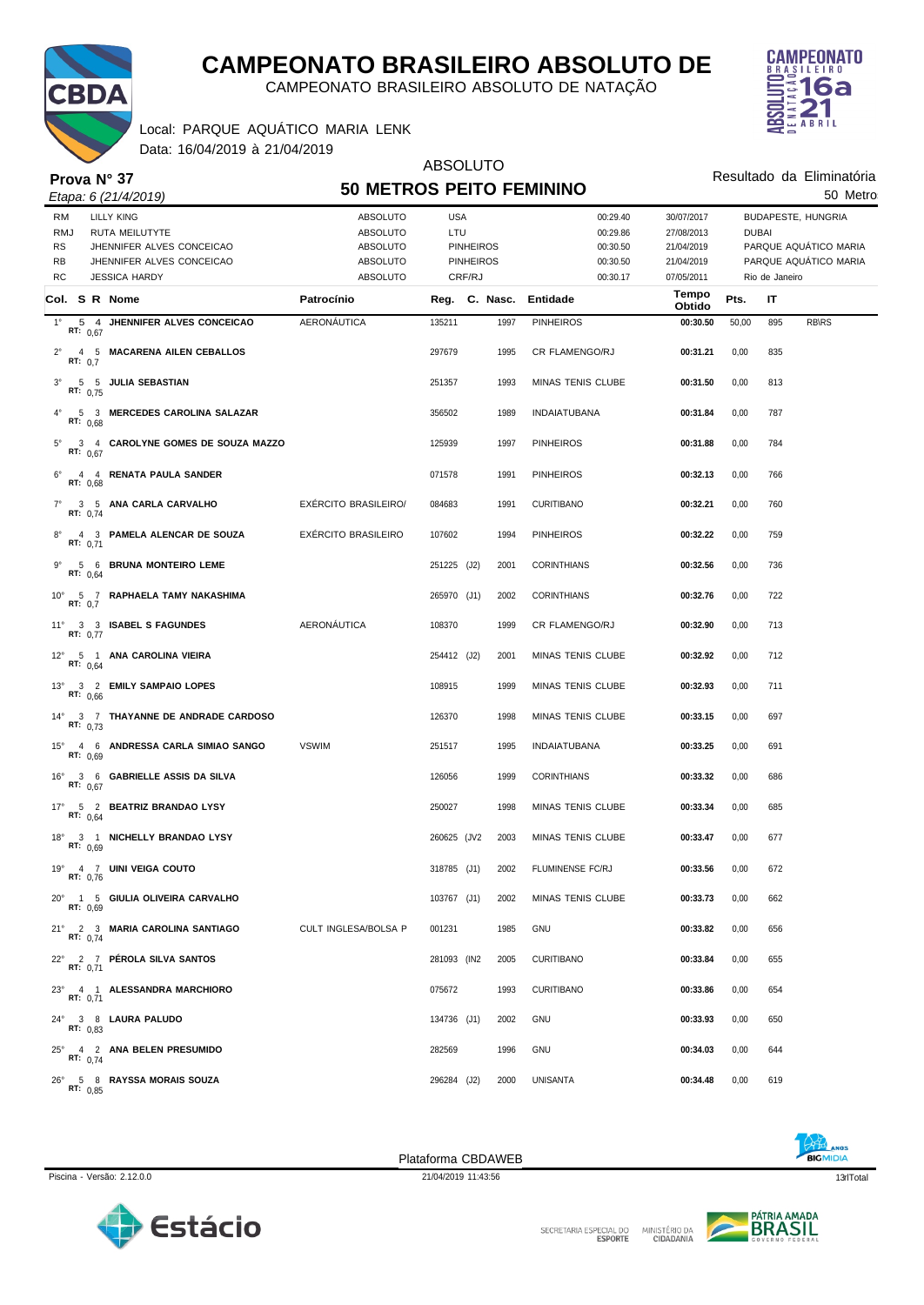

*Etapa: 6 (21/4/2019)*

# **CAMPEONATO BRASILEIRO ABSOLUTO DE**

CAMPEONATO BRASILEIRO ABSOLUTO DE NATAÇÃO



50 Metros

Resultado da Eliminatória

Data: 16/04/2019 à 21/04/2019 Local: PARQUE AQUÁTICO MARIA LENK

### ABSOLUTO **50 METROS PEITO FEMININO**

| <b>RM</b><br><b>RMJ</b><br>RS<br><b>RB</b><br><b>RC</b> | <b>LILLY KING</b><br><b>RUTA MEILUTYTE</b><br>JHENNIFER ALVES CONCEICAO<br>JHENNIFER ALVES CONCEICAO<br><b>JESSICA HARDY</b> | ABSOLUTO<br><b>ABSOLUTO</b><br><b>ABSOLUTO</b><br>ABSOLUTO<br><b>ABSOLUTO</b> | <b>USA</b><br>LTU | <b>PINHEIROS</b><br><b>PINHEIROS</b><br>CRF/RJ |      | 00:29.40<br>00:29.86<br>00:30.50<br>00:30.50<br>00:30.17 | 30/07/2017<br>27/08/2013<br>21/04/2019<br>21/04/2019<br>07/05/2011 | <b>DUBAI</b> | Rio de Janeiro | BUDAPESTE, HUNGRIA<br>PARQUE AQUÁTICO MARIA<br>PARQUE AQUÁTICO MARIA |
|---------------------------------------------------------|------------------------------------------------------------------------------------------------------------------------------|-------------------------------------------------------------------------------|-------------------|------------------------------------------------|------|----------------------------------------------------------|--------------------------------------------------------------------|--------------|----------------|----------------------------------------------------------------------|
|                                                         | Col. S R Nome                                                                                                                | Patrocínio                                                                    | Reg. C. Nasc.     |                                                |      | Entidade                                                 | Tempo<br>Obtido                                                    | Pts.         | IT             |                                                                      |
| $1^{\circ}$                                             | 5 4 JHENNIFER ALVES CONCEICAO<br>RT: $0,67$                                                                                  | AERONÁUTICA                                                                   | 135211            |                                                | 1997 | <b>PINHEIROS</b>                                         | 00:30.50                                                           | 50,00        | 895            | <b>RB\RS</b>                                                         |
| $2^{\circ}$<br>RT: $0,7$                                | 4 5 MACARENA AILEN CEBALLOS                                                                                                  |                                                                               | 297679            |                                                | 1995 | CR FLAMENGO/RJ                                           | 00:31.21                                                           | 0,00         | 835            |                                                                      |
| $3^\circ$                                               | 5 5 JULIA SEBASTIAN<br>RT: 0,75                                                                                              |                                                                               | 251357            |                                                | 1993 | MINAS TENIS CLUBE                                        | 00:31.50                                                           | 0,00         | 813            |                                                                      |
|                                                         | 5 3 MERCEDES CAROLINA SALAZAR<br>RT: $0,68$                                                                                  |                                                                               | 356502            |                                                | 1989 | <b>INDAIATUBANA</b>                                      | 00:31.84                                                           | 0,00         | 787            |                                                                      |
| $5^{\circ}$                                             | 3 4 CAROLYNE GOMES DE SOUZA MAZZO<br>RT: $0,67$                                                                              |                                                                               | 125939            |                                                | 1997 | <b>PINHEIROS</b>                                         | 00:31.88                                                           | 0,00         | 784            |                                                                      |
| $6^{\circ}$                                             | 4 4 RENATA PAULA SANDER<br>RT: 0,68                                                                                          |                                                                               | 071578            |                                                | 1991 | <b>PINHEIROS</b>                                         | 00:32.13                                                           | 0,00         | 766            |                                                                      |
|                                                         | 7° 3 5 ANA CARLA CARVALHO<br>RT: 0,74                                                                                        | <b>EXERCITO BRASILEIRO/</b>                                                   | 084683            |                                                | 1991 | <b>CURITIBANO</b>                                        | 00:32.21                                                           | 0,00         | 760            |                                                                      |
|                                                         | 4 3 PAMELA ALENCAR DE SOUZA<br>RT: 0,71                                                                                      | EXÉRCITO BRASILEIRO                                                           | 107602            |                                                | 1994 | <b>PINHEIROS</b>                                         | 00:32.22                                                           | 0,00         | 759            |                                                                      |
|                                                         | 9° 5 6 BRUNA MONTEIRO LEME<br>RT: 0,64                                                                                       |                                                                               | 251225 (J2)       |                                                | 2001 | <b>CORINTHIANS</b>                                       | 00:32.56                                                           | 0,00         | 736            |                                                                      |
| RT: 0.7                                                 | 10° 5 7 RAPHAELA TAMY NAKASHIMA                                                                                              |                                                                               | 265970 (J1)       |                                                | 2002 | <b>CORINTHIANS</b>                                       | 00:32.76                                                           | 0,00         | 722            |                                                                      |
|                                                         | 11° 3 3 ISABEL S FAGUNDES<br>RT: 0,77                                                                                        | AERONÁUTICA                                                                   | 108370            |                                                | 1999 | CR FLAMENGO/RJ                                           | 00:32.90                                                           | 0,00         | 713            |                                                                      |
|                                                         | 12° 5 1 ANA CAROLINA VIEIRA<br>RT: $0,64$                                                                                    |                                                                               | 254412 (J2)       |                                                | 2001 | MINAS TENIS CLUBE                                        | 00:32.92                                                           | 0,00         | 712            |                                                                      |
|                                                         | 13° 3 2 EMILY SAMPAIO LOPES<br>RT: $0.66$                                                                                    |                                                                               | 108915            |                                                | 1999 | <b>MINAS TENIS CLUBE</b>                                 | 00:32.93                                                           | 0,00         | 711            |                                                                      |
|                                                         | 14° 3 7 THAYANNE DE ANDRADE CARDOSO<br>RT: $0.73$                                                                            |                                                                               | 126370            |                                                | 1998 | <b>MINAS TENIS CLUBE</b>                                 | 00:33.15                                                           | 0,00         | 697            |                                                                      |
|                                                         | 15° 4 6 ANDRESSA CARLA SIMIAO SANGO<br>RT: 0.69                                                                              | <b>VSWIM</b>                                                                  | 251517            |                                                | 1995 | <b>INDAIATUBANA</b>                                      | 00:33.25                                                           | 0,00         | 691            |                                                                      |
|                                                         | 16° 3 6 GABRIELLE ASSIS DA SILVA<br>RT: $0.67$                                                                               |                                                                               | 126056            |                                                | 1999 | <b>CORINTHIANS</b>                                       | 00:33.32                                                           | 0,00         | 686            |                                                                      |
|                                                         | 17° 5 2 BEATRIZ BRANDAO LYSY<br>RT: $0.64$                                                                                   |                                                                               | 250027            |                                                | 1998 | <b>MINAS TENIS CLUBE</b>                                 | 00:33.34                                                           | 0,00         | 685            |                                                                      |
|                                                         | 18° 3 1 NICHELLY BRANDAO LYSY<br>RT: $0.69$                                                                                  |                                                                               | 260625 (JV2       |                                                | 2003 | <b>MINAS TENIS CLUBE</b>                                 | 00:33.47                                                           | 0,00         | 677            |                                                                      |
|                                                         | 19° 4 7 UINI VEIGA COUTO<br>RT: 0,76                                                                                         |                                                                               | 318785 (J1)       |                                                | 2002 | FLUMINENSE FC/RJ                                         | 00:33.56                                                           | 0,00         | 672            |                                                                      |
|                                                         | 20° 1 5 GIULIA OLIVEIRA CARVALHO<br>RT: 0.69                                                                                 |                                                                               | 103767 (J1)       |                                                | 2002 | MINAS TENIS CLUBE                                        | 00:33.73                                                           | 0,00         | 662            |                                                                      |
|                                                         | 21° 2 3 MARIA CAROLINA SANTIAGO<br>RT: 0,74                                                                                  | CULT INGLESA/BOLSA P                                                          | 001231            |                                                | 1985 | <b>GNU</b>                                               | 00:33.82                                                           | 0,00         | 656            |                                                                      |
|                                                         | 22° 2 7 PÉROLA SILVA SANTOS<br>RT: 0.71                                                                                      |                                                                               | 281093 (IN2       |                                                | 2005 | <b>CURITIBANO</b>                                        | 00:33.84                                                           | 0,00         | 655            |                                                                      |
|                                                         | 23° 4 1 ALESSANDRA MARCHIORO<br>RT: 0.71                                                                                     |                                                                               | 075672            |                                                | 1993 | <b>CURITIBANO</b>                                        | 00:33.86                                                           | 0,00         | 654            |                                                                      |
|                                                         | 24° 3 8 LAURA PALUDO<br>RT: $0,83$                                                                                           |                                                                               | 134736 (J1)       |                                                | 2002 | <b>GNU</b>                                               | 00:33.93                                                           | 0,00         | 650            |                                                                      |
|                                                         | 25° 4 2 ANA BELEN PRESUMIDO<br>RT: $0,74$                                                                                    |                                                                               | 282569            |                                                | 1996 | <b>GNU</b>                                               | 00:34.03                                                           | 0,00         | 644            |                                                                      |
|                                                         | 26° 5 8 RAYSSA MORAIS SOUZA<br>RT: 0.85                                                                                      |                                                                               | 296284 (J2)       |                                                | 2000 | <b>UNISANTA</b>                                          | 00:34.48                                                           | 0,00         | 619            |                                                                      |







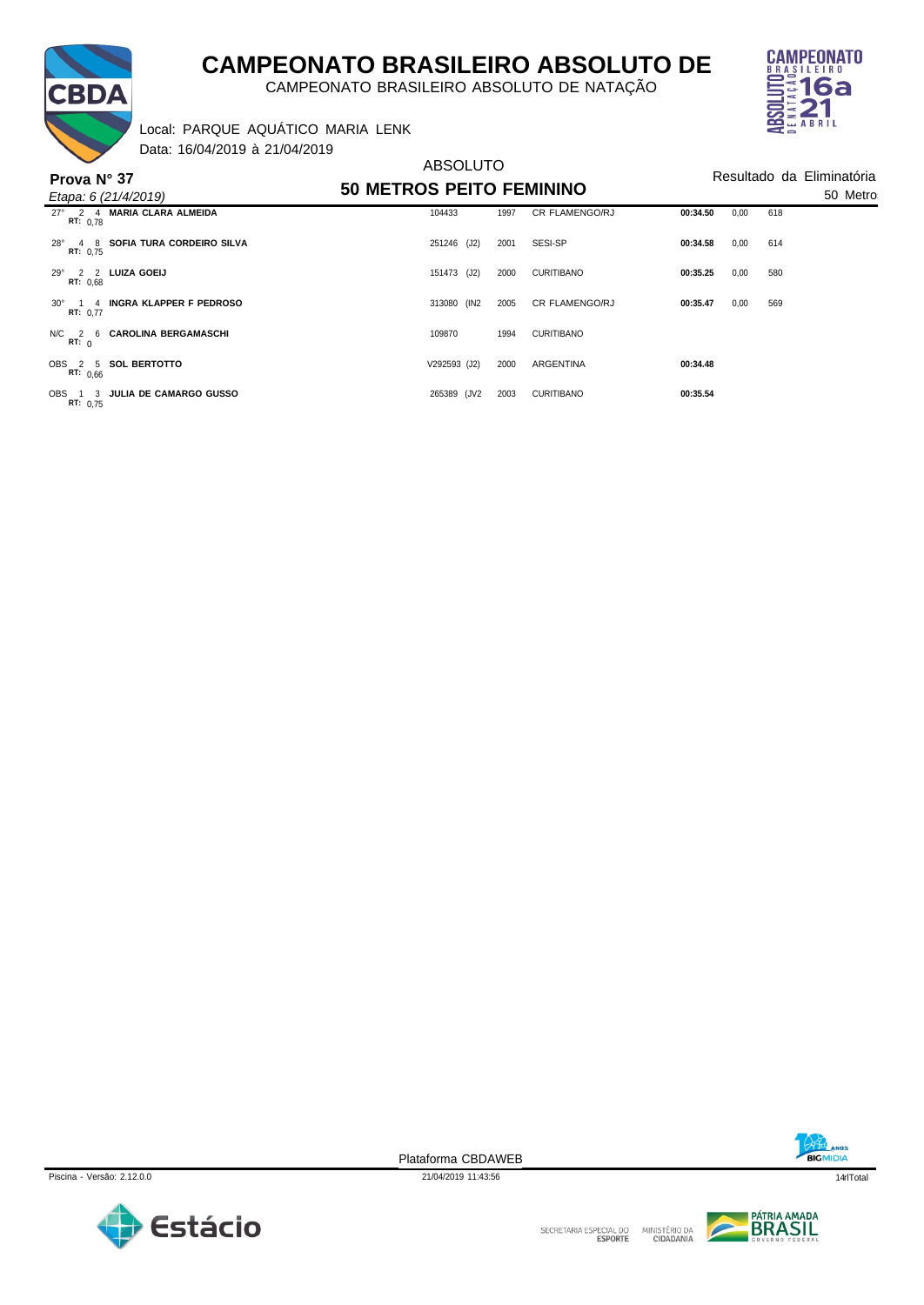

CAMPEONATO BRASILEIRO ABSOLUTO DE NATAÇÃO



Data: 16/04/2019 à 21/04/2019 Local: PARQUE AQUÁTICO MARIA LENK

BDA

| Prova N° 37            | $Da(a)$ , $Db$ $Tc$ $D13$ a $Tc$ $D13$<br>Etapa: 6 (21/4/2019) | <b>ABSOLUTO</b><br><b>50 METROS PEITO FEMININO</b> | Resultado da Eliminatória<br>50 Metro |                       |          |      |     |  |
|------------------------|----------------------------------------------------------------|----------------------------------------------------|---------------------------------------|-----------------------|----------|------|-----|--|
| RT: 0.78               | 27° 2 4 MARIA CLARA ALMEIDA                                    | 104433                                             | 1997                                  | <b>CR FLAMENGO/RJ</b> | 00:34.50 | 0,00 | 618 |  |
| $28^\circ$<br>RT: 0,75 | 4 8 SOFIA TURA CORDEIRO SILVA                                  | 251246 (J2)                                        | 2001                                  | SESI-SP               | 00:34.58 | 0,00 | 614 |  |
| RT: 0.68               | 29° 2 2 LUIZA GOEIJ                                            | 151473 (J2)                                        | 2000                                  | <b>CURITIBANO</b>     | 00:35.25 | 0,00 | 580 |  |
| RT: 0,77               | 30° 1 4 INGRA KLAPPER F PEDROSO                                | 313080 (IN2                                        | 2005                                  | <b>CR FLAMENGO/RJ</b> | 00:35.47 | 0,00 | 569 |  |
| RT: 0                  | N/C 2 6 CAROLINA BERGAMASCHI                                   | 109870                                             | 1994                                  | <b>CURITIBANO</b>     |          |      |     |  |
| OBS 2 5<br>RT: 0,66    | <b>SOL BERTOTTO</b>                                            | V292593 (J2)                                       | 2000                                  | ARGENTINA             | 00:34.48 |      |     |  |
| OBS 1 3<br>RT: 0,75    | <b>JULIA DE CAMARGO GUSSO</b>                                  | 265389 (JV2                                        | 2003                                  | <b>CURITIBANO</b>     | 00:35.54 |      |     |  |

Piscina - Versão: 2.12.0.0 21/04/2019 11:43:56 14qrlTotal



Plataforma CBDAWEB





**BRASIL**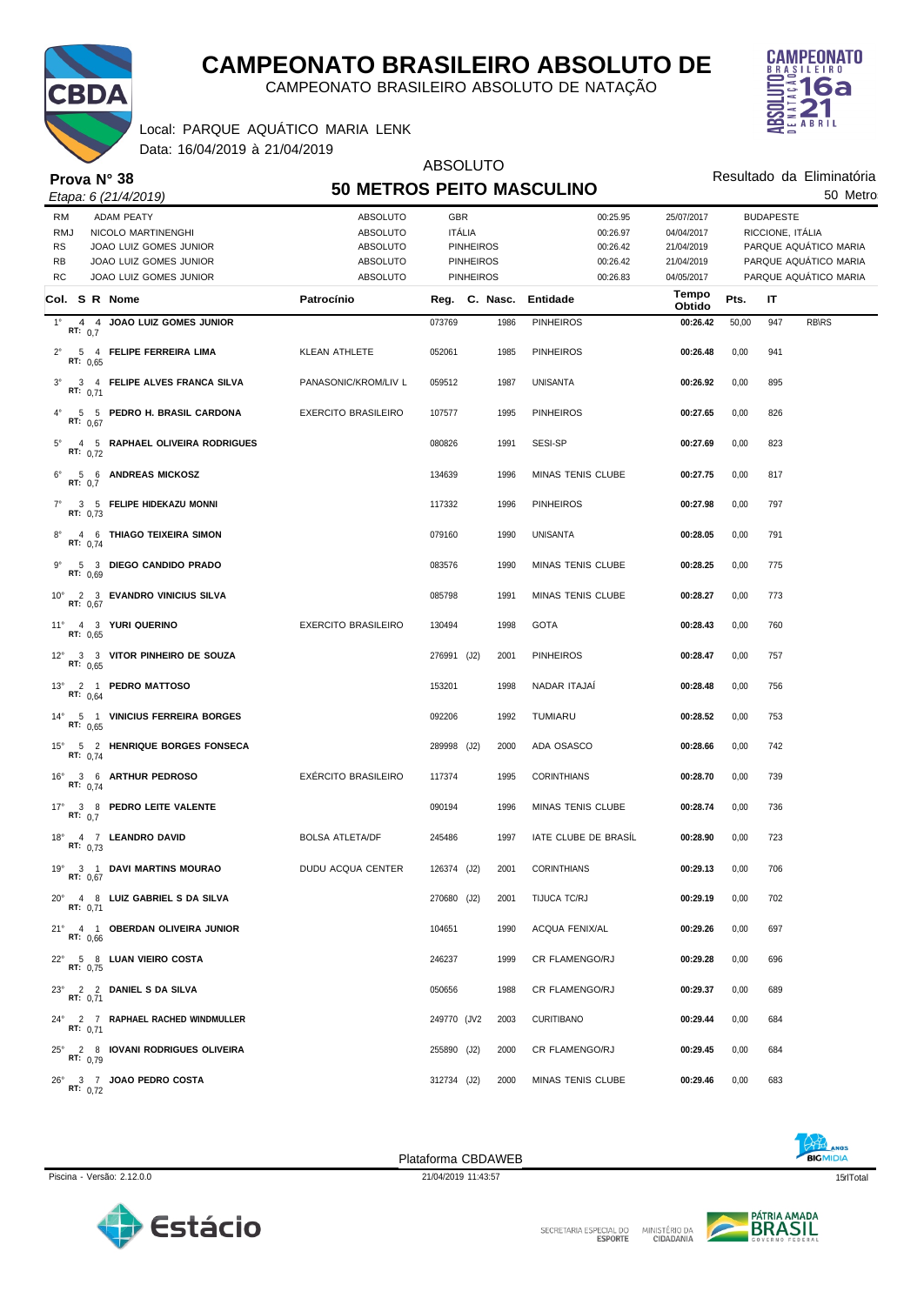

CAMPEONATO BRASILEIRO ABSOLUTO DE NATAÇÃO



50 Metros

Resultado da Eliminatória

Data: 16/04/2019 à 21/04/2019 Local: PARQUE AQUÁTICO MARIA LENK

#### *Etapa: 6 (21/4/2019)* **Prova N° 38**

#### ABSOLUTO **50 METROS PEITO MASCULINO**

| <b>RM</b><br><b>ADAM PEATY</b><br><b>RMJ</b><br>NICOLO MARTINENGHI<br>RS<br>JOAO LUIZ GOMES JUNIOR<br>RB<br>JOAO LUIZ GOMES JUNIOR<br>RC<br>JOAO LUIZ GOMES JUNIOR | <b>ABSOLUTO</b><br><b>ABSOLUTO</b><br>ABSOLUTO<br><b>ABSOLUTO</b><br><b>ABSOLUTO</b> | <b>GBR</b><br><b>ITÁLIA</b> | <b>PINHEIROS</b><br><b>PINHEIROS</b><br><b>PINHEIROS</b> | 00:25.95<br>00:26.97<br>00:26.42<br>00:26.42<br>00:26.83 | 25/07/2017<br>04/04/2017<br>21/04/2019<br>21/04/2019<br>04/05/2017 |       | <b>BUDAPESTE</b><br>RICCIONE, ITÁLIA | PARQUE AQUÁTICO MARIA<br>PARQUE AQUÁTICO MARIA<br>PARQUE AQUÁTICO MARIA |
|--------------------------------------------------------------------------------------------------------------------------------------------------------------------|--------------------------------------------------------------------------------------|-----------------------------|----------------------------------------------------------|----------------------------------------------------------|--------------------------------------------------------------------|-------|--------------------------------------|-------------------------------------------------------------------------|
| Col. S R Nome                                                                                                                                                      | Patrocínio                                                                           |                             |                                                          | Reg. C. Nasc. Entidade                                   | Tempo<br>Obtido                                                    | Pts.  | IT                                   |                                                                         |
| 4 4 JOAO LUIZ GOMES JUNIOR<br>$1^{\circ}$<br>RT: 0.7                                                                                                               |                                                                                      | 073769                      | 1986                                                     | <b>PINHEIROS</b>                                         | 00:26.42                                                           | 50,00 | 947                                  | <b>RB\RS</b>                                                            |
| $2^{\circ}$<br>5 4 FELIPE FERREIRA LIMA<br>RT: $0.65$                                                                                                              | KLEAN ATHLETE                                                                        | 052061                      | 1985                                                     | <b>PINHEIROS</b>                                         | 00:26.48                                                           | 0,00  | 941                                  |                                                                         |
| 3 4 FELIPE ALVES FRANCA SILVA<br>$3^\circ$<br>RT: $0,71$                                                                                                           | PANASONIC/KROM/LIV L                                                                 | 059512                      | 1987                                                     | UNISANTA                                                 | 00:26.92                                                           | 0,00  | 895                                  |                                                                         |
| 5 5 PEDRO H. BRASIL CARDONA<br>$4^{\circ}$<br>RT: $0.67$                                                                                                           | <b>EXERCITO BRASILEIRO</b>                                                           | 107577                      | 1995                                                     | <b>PINHEIROS</b>                                         | 00:27.65                                                           | 0,00  | 826                                  |                                                                         |
| 4 5 RAPHAEL OLIVEIRA RODRIGUES<br>$5^{\circ}$<br>RT: $0,72$                                                                                                        |                                                                                      | 080826                      | 1991                                                     | SESI-SP                                                  | 00:27.69                                                           | 0,00  | 823                                  |                                                                         |
| 5 6 ANDREAS MICKOSZ<br>$6^{\circ}$<br>RT: 0.7                                                                                                                      |                                                                                      | 134639                      | 1996                                                     | MINAS TENIS CLUBE                                        | 00:27.75                                                           | 0,00  | 817                                  |                                                                         |
| 3 5 FELIPE HIDEKAZU MONNI<br>$7^{\circ}$<br>RT: 0.73                                                                                                               |                                                                                      | 117332                      | 1996                                                     | <b>PINHEIROS</b>                                         | 00:27.98                                                           | 0,00  | 797                                  |                                                                         |
| 4 6 THIAGO TEIXEIRA SIMON<br>$8^{\circ}$<br>RT: 0,74                                                                                                               |                                                                                      | 079160                      | 1990                                                     | <b>UNISANTA</b>                                          | 00:28.05                                                           | 0,00  | 791                                  |                                                                         |
| $9^{\circ}$<br>5 3 DIEGO CANDIDO PRADO<br>RT: 0,69                                                                                                                 |                                                                                      | 083576                      | 1990                                                     | MINAS TENIS CLUBE                                        | 00:28.25                                                           | 0,00  | 775                                  |                                                                         |
| 10° 2 3 EVANDRO VINICIUS SILVA<br><b>RT: 0,67</b>                                                                                                                  |                                                                                      | 085798                      | 1991                                                     | MINAS TENIS CLUBE                                        | 00:28.27                                                           | 0,00  | 773                                  |                                                                         |
| 11° 4 3 YURI QUERINO<br>RT: 0.65                                                                                                                                   | <b>EXERCITO BRASILEIRO</b>                                                           | 130494                      | 1998                                                     | <b>GOTA</b>                                              | 00:28.43                                                           | 0,00  | 760                                  |                                                                         |
| 12° 3 3 VITOR PINHEIRO DE SOUZA<br>RT: $0,65$                                                                                                                      |                                                                                      | 276991 (J2)                 | 2001                                                     | <b>PINHEIROS</b>                                         | 00:28.47                                                           | 0,00  | 757                                  |                                                                         |
| 13° 2 1 PEDRO MATTOSO<br>RT: $0,64$                                                                                                                                |                                                                                      | 153201                      | 1998                                                     | NADAR ITAJAI                                             | 00:28.48                                                           | 0,00  | 756                                  |                                                                         |
| 14° 5 1 VINICIUS FERREIRA BORGES<br>RT: $0,65$                                                                                                                     |                                                                                      | 092206                      | 1992                                                     | TUMIARU                                                  | 00:28.52                                                           | 0,00  | 753                                  |                                                                         |
| 15° 5 2 HENRIQUE BORGES FONSECA<br>RT: $0,74$                                                                                                                      |                                                                                      | 289998 (J2)                 | 2000                                                     | ADA OSASCO                                               | 00:28.66                                                           | 0,00  | 742                                  |                                                                         |
| 16° 3 6 ARTHUR PEDROSO<br>RT: $0,74$                                                                                                                               | EXÉRCITO BRASILEIRO                                                                  | 117374                      | 1995                                                     | <b>CORINTHIANS</b>                                       | 00:28.70                                                           | 0,00  | 739                                  |                                                                         |
| 17° 3 8 PEDRO LEITE VALENTE<br>RT: $0,7$                                                                                                                           |                                                                                      | 090194                      | 1996                                                     | MINAS TENIS CLUBE                                        | 00:28.74                                                           | 0,00  | 736                                  |                                                                         |
| 18° 4 7 LEANDRO DAVID<br>RT: 0.73                                                                                                                                  | <b>BOLSA ATLETA/DF</b>                                                               | 245486                      | 1997                                                     | IATE CLUBE DE BRASIL                                     | 00:28.90                                                           | 0,00  | 723                                  |                                                                         |
| 19° 3 1 DAVI MARTINS MOURAO<br>RT: 0,67                                                                                                                            | DUDU ACQUA CENTER                                                                    | 126374 (J2)                 | 2001                                                     | <b>CORINTHIANS</b>                                       | 00:29.13                                                           | 0,00  | 706                                  |                                                                         |
| 20° 4 8 LUIZ GABRIEL S DA SILVA<br>RT: 0,71                                                                                                                        |                                                                                      | 270680 (J2)                 |                                                          | 2001 TIJUCA TC/RJ                                        | 00:29.19                                                           | 0,00  | 702                                  |                                                                         |
| 21° 4 1 OBERDAN OLIVEIRA JUNIOR<br>RT: 0,66                                                                                                                        |                                                                                      | 104651                      | 1990                                                     | ACQUA FENIX/AL                                           | 00:29.26                                                           | 0,00  | 697                                  |                                                                         |
| 22° 5 8 LUAN VIEIRO COSTA<br>RT: 0,75                                                                                                                              |                                                                                      | 246237                      | 1999                                                     | <b>CR FLAMENGO/RJ</b>                                    | 00:29.28                                                           | 0,00  | 696                                  |                                                                         |
| 23° 2 2 DANIEL S DA SILVA<br>RT: 0.71                                                                                                                              |                                                                                      | 050656                      | 1988                                                     | CR FLAMENGO/RJ                                           | 00:29.37                                                           | 0,00  | 689                                  |                                                                         |
| 24° 2 7 RAPHAEL RACHED WINDMULLER<br>RT: $0,71$                                                                                                                    |                                                                                      | 249770 (JV2                 | 2003                                                     | CURITIBANO                                               | 00:29.44                                                           | 0,00  | 684                                  |                                                                         |
| 25° 2 8 IOVANI RODRIGUES OLIVEIRA<br>RT: $0.79$                                                                                                                    |                                                                                      | 255890 (J2)                 | 2000                                                     | CR FLAMENGO/RJ                                           | 00:29.45                                                           | 0,00  | 684                                  |                                                                         |
| 26° 3 7 JOAO PEDRO COSTA<br>RT: $0,72$                                                                                                                             |                                                                                      | 312734 (J2)                 | 2000                                                     | MINAS TENIS CLUBE                                        | 00:29.46                                                           | 0,00  | 683                                  |                                                                         |



Plataforma CBDAWEB